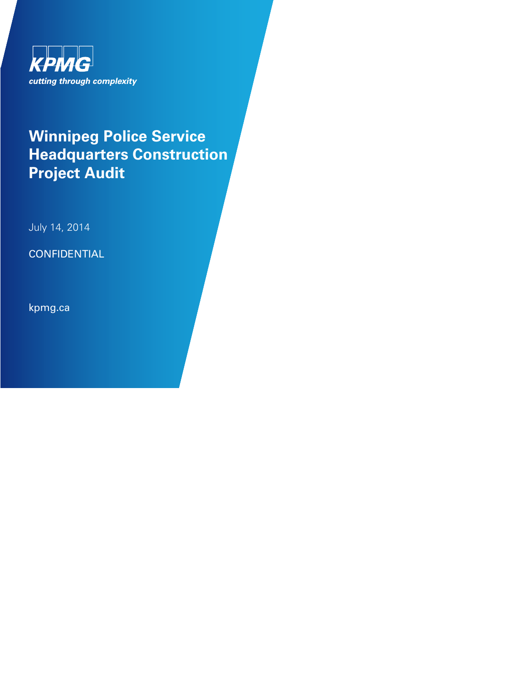

# **Winnipeg Police Service Headquarters Construction Project Audit**

July 14, 2014

**CONFIDENTIAL** 

kpmg.ca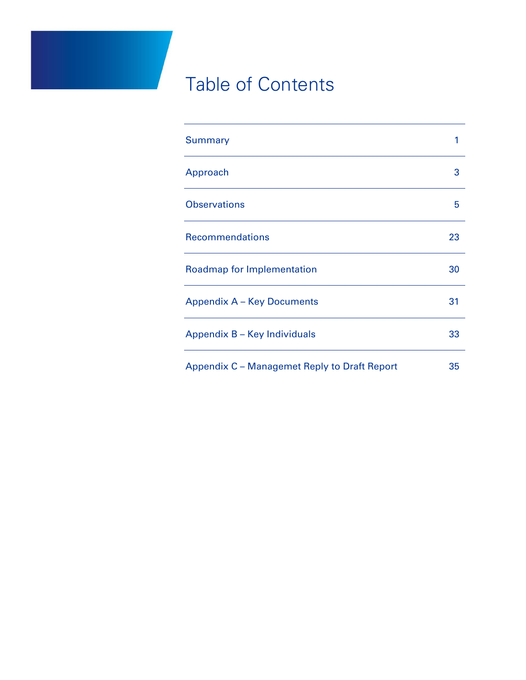# Table of Contents

| <b>Summary</b>                               |    |
|----------------------------------------------|----|
| Approach                                     | 3  |
| <b>Observations</b>                          | 5  |
| <b>Recommendations</b>                       | 23 |
| Roadmap for Implementation                   | 30 |
| Appendix A – Key Documents                   | 31 |
| Appendix B - Key Individuals                 | 33 |
| Appendix C - Managemet Reply to Draft Report | 35 |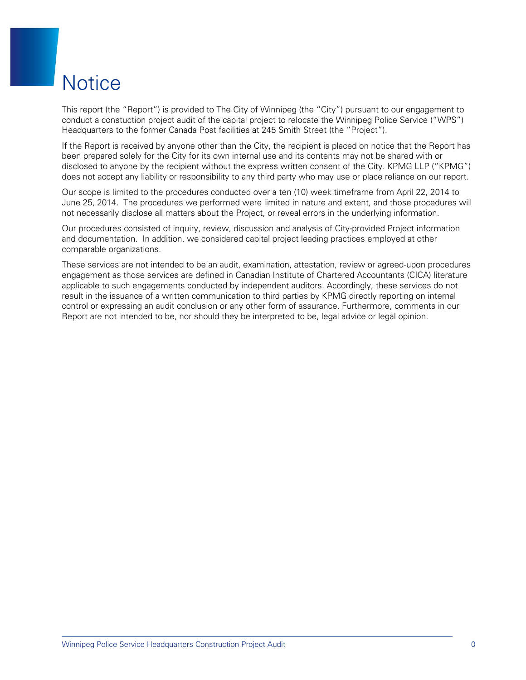# **Notice**

This report (the "Report") is provided to The City of Winnipeg (the "City") pursuant to our engagement to conduct a constuction project audit of the capital project to relocate the Winnipeg Police Service ("WPS") Headquarters to the former Canada Post facilities at 245 Smith Street (the "Project").

If the Report is received by anyone other than the City, the recipient is placed on notice that the Report has been prepared solely for the City for its own internal use and its contents may not be shared with or disclosed to anyone by the recipient without the express written consent of the City. KPMG LLP ("KPMG") does not accept any liability or responsibility to any third party who may use or place reliance on our report.

Our scope is limited to the procedures conducted over a ten (10) week timeframe from April 22, 2014 to June 25, 2014. The procedures we performed were limited in nature and extent, and those procedures will not necessarily disclose all matters about the Project, or reveal errors in the underlying information.

Our procedures consisted of inquiry, review, discussion and analysis of City-provided Project information and documentation. In addition, we considered capital project leading practices employed at other comparable organizations.

These services are not intended to be an audit, examination, attestation, review or agreed-upon procedures engagement as those services are defined in Canadian Institute of Chartered Accountants (CICA) literature applicable to such engagements conducted by independent auditors. Accordingly, these services do not result in the issuance of a written communication to third parties by KPMG directly reporting on internal control or expressing an audit conclusion or any other form of assurance. Furthermore, comments in our Report are not intended to be, nor should they be interpreted to be, legal advice or legal opinion.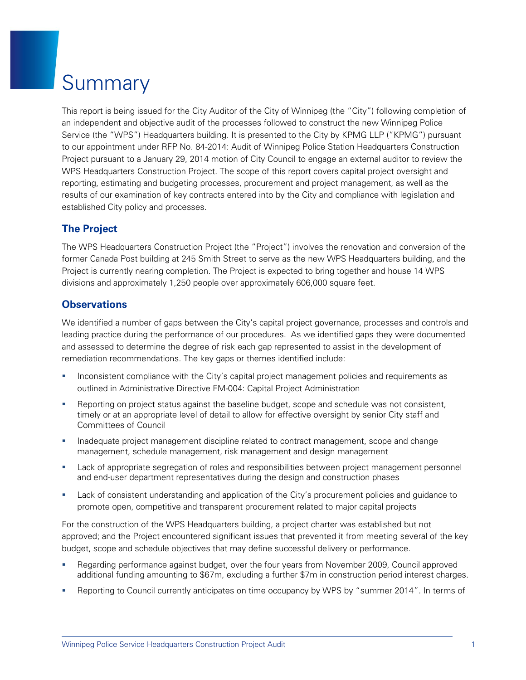# <span id="page-3-0"></span>Summary

This report is being issued for the City Auditor of the City of Winnipeg (the "City") following completion of an independent and objective audit of the processes followed to construct the new Winnipeg Police Service (the "WPS") Headquarters building. It is presented to the City by KPMG LLP ("KPMG") pursuant to our appointment under RFP No. 84-2014: Audit of Winnipeg Police Station Headquarters Construction Project pursuant to a January 29, 2014 motion of City Council to engage an external auditor to review the WPS Headquarters Construction Project. The scope of this report covers capital project oversight and reporting, estimating and budgeting processes, procurement and project management, as well as the results of our examination of key contracts entered into by the City and compliance with legislation and established City policy and processes.

# **The Project**

The WPS Headquarters Construction Project (the "Project") involves the renovation and conversion of the former Canada Post building at 245 Smith Street to serve as the new WPS Headquarters building, and the Project is currently nearing completion. The Project is expected to bring together and house 14 WPS divisions and approximately 1,250 people over approximately 606,000 square feet.

## **Observations**

We identified a number of gaps between the City's capital project governance, processes and controls and leading practice during the performance of our procedures. As we identified gaps they were documented and assessed to determine the degree of risk each gap represented to assist in the development of remediation recommendations. The key gaps or themes identified include:

- Inconsistent compliance with the City's capital project management policies and requirements as outlined in Administrative Directive FM-004: Capital Project Administration
- Reporting on project status against the baseline budget, scope and schedule was not consistent, timely or at an appropriate level of detail to allow for effective oversight by senior City staff and Committees of Council
- Inadequate project management discipline related to contract management, scope and change management, schedule management, risk management and design management
- Lack of appropriate segregation of roles and responsibilities between project management personnel and end-user department representatives during the design and construction phases
- Lack of consistent understanding and application of the City's procurement policies and guidance to promote open, competitive and transparent procurement related to major capital projects

For the construction of the WPS Headquarters building, a project charter was established but not approved; and the Project encountered significant issues that prevented it from meeting several of the key budget, scope and schedule objectives that may define successful delivery or performance.

- Regarding performance against budget, over the four years from November 2009, Council approved additional funding amounting to \$67m, excluding a further \$7m in construction period interest charges.
- Reporting to Council currently anticipates on time occupancy by WPS by "summer 2014". In terms of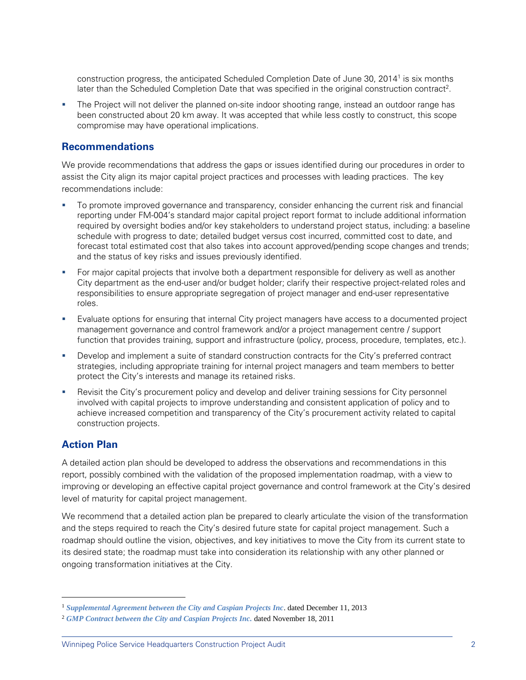construction progress, the anticipated Scheduled Completion Date of June 30, 2014<sup>1</sup> is six months later than the Scheduled Completion Date that was specified in the original construction contract<sup>2</sup>.

 The Project will not deliver the planned on-site indoor shooting range, instead an outdoor range has been constructed about 20 km away. It was accepted that while less costly to construct, this scope compromise may have operational implications.

### **Recommendations**

We provide recommendations that address the gaps or issues identified during our procedures in order to assist the City align its major capital project practices and processes with leading practices. The key recommendations include:

- To promote improved governance and transparency, consider enhancing the current risk and financial reporting under FM-004's standard major capital project report format to include additional information required by oversight bodies and/or key stakeholders to understand project status, including: a baseline schedule with progress to date; detailed budget versus cost incurred, committed cost to date, and forecast total estimated cost that also takes into account approved/pending scope changes and trends; and the status of key risks and issues previously identified.
- For major capital projects that involve both a department responsible for delivery as well as another City department as the end-user and/or budget holder; clarify their respective project-related roles and responsibilities to ensure appropriate segregation of project manager and end-user representative roles.
- Evaluate options for ensuring that internal City project managers have access to a documented project management governance and control framework and/or a project management centre / support function that provides training, support and infrastructure (policy, process, procedure, templates, etc.).
- Develop and implement a suite of standard construction contracts for the City's preferred contract strategies, including appropriate training for internal project managers and team members to better protect the City's interests and manage its retained risks.
- Revisit the City's procurement policy and develop and deliver training sessions for City personnel involved with capital projects to improve understanding and consistent application of policy and to achieve increased competition and transparency of the City's procurement activity related to capital construction projects.

### **Action Plan**

 $\overline{a}$ 

A detailed action plan should be developed to address the observations and recommendations in this report, possibly combined with the validation of the proposed implementation roadmap, with a view to improving or developing an effective capital project governance and control framework at the City's desired level of maturity for capital project management.

We recommend that a detailed action plan be prepared to clearly articulate the vision of the transformation and the steps required to reach the City's desired future state for capital project management. Such a roadmap should outline the vision, objectives, and key initiatives to move the City from its current state to its desired state; the roadmap must take into consideration its relationship with any other planned or ongoing transformation initiatives at the City.

<sup>&</sup>lt;sup>1</sup> Supplemental Agreement between the City and Caspian Projects Inc. dated December 11, 2013

<sup>2</sup> *GMP Contract between the City and Caspian Projects Inc.* dated November 18, 2011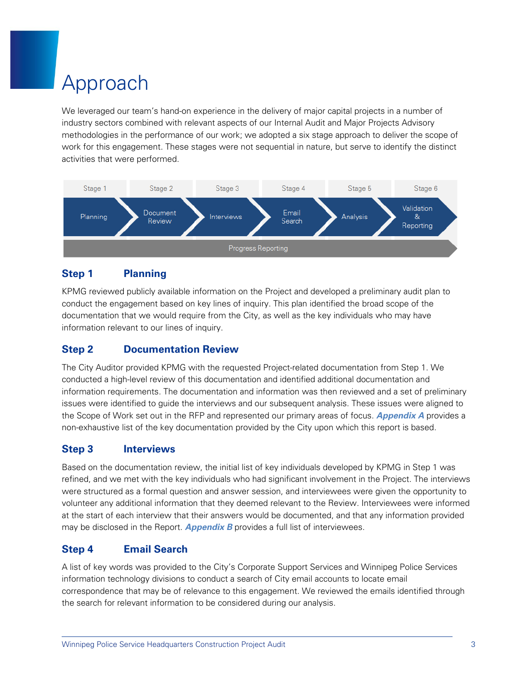# <span id="page-5-0"></span>Approach

We leveraged our team's hand-on experience in the delivery of major capital projects in a number of industry sectors combined with relevant aspects of our Internal Audit and Major Projects Advisory methodologies in the performance of our work; we adopted a six stage approach to deliver the scope of work for this engagement. These stages were not sequential in nature, but serve to identify the distinct activities that were performed.



# **Step 1 Planning**

KPMG reviewed publicly available information on the Project and developed a preliminary audit plan to conduct the engagement based on key lines of inquiry. This plan identified the broad scope of the documentation that we would require from the City, as well as the key individuals who may have information relevant to our lines of inquiry.

## **Step 2 Documentation Review**

The City Auditor provided KPMG with the requested Project-related documentation from Step 1. We conducted a high-level review of this documentation and identified additional documentation and information requirements. The documentation and information was then reviewed and a set of preliminary issues were identified to guide the interviews and our subsequent analysis. These issues were aligned to the Scope of Work set out in the RFP and represented our primary areas of focus. *Appendix A* provides a non-exhaustive list of the key documentation provided by the City upon which this report is based.

## **Step 3 Interviews**

Based on the documentation review, the initial list of key individuals developed by KPMG in Step 1 was refined, and we met with the key individuals who had significant involvement in the Project. The interviews were structured as a formal question and answer session, and interviewees were given the opportunity to volunteer any additional information that they deemed relevant to the Review. Interviewees were informed at the start of each interview that their answers would be documented, and that any information provided may be disclosed in the Report. *Appendix B* provides a full list of interviewees.

# **Step 4 Email Search**

A list of key words was provided to the City's Corporate Support Services and Winnipeg Police Services information technology divisions to conduct a search of City email accounts to locate email correspondence that may be of relevance to this engagement. We reviewed the emails identified through the search for relevant information to be considered during our analysis.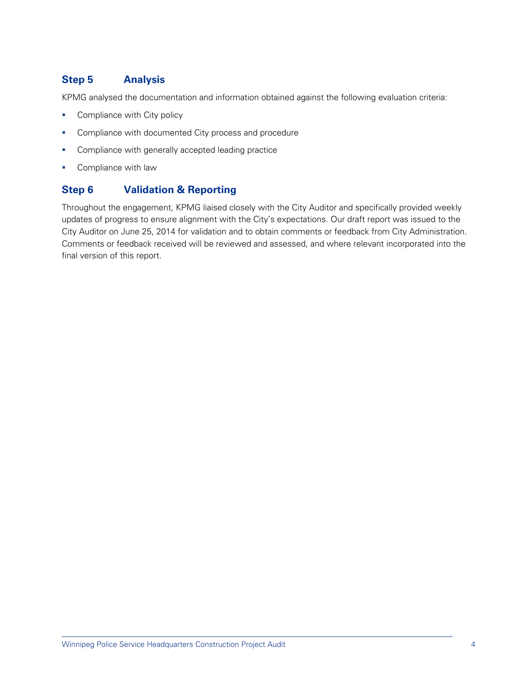# **Step 5 Analysis**

KPMG analysed the documentation and information obtained against the following evaluation criteria:

- **Compliance with City policy**
- **EXECOMPLIANCE With documented City process and procedure**
- **EXECOMPLEANCE COMPLEANCE With generally accepted leading practice**
- **Compliance with law**

### **Step 6 Validation & Reporting**

Throughout the engagement, KPMG liaised closely with the City Auditor and specifically provided weekly updates of progress to ensure alignment with the City's expectations. Our draft report was issued to the City Auditor on June 25, 2014 for validation and to obtain comments or feedback from City Administration. Comments or feedback received will be reviewed and assessed, and where relevant incorporated into the final version of this report.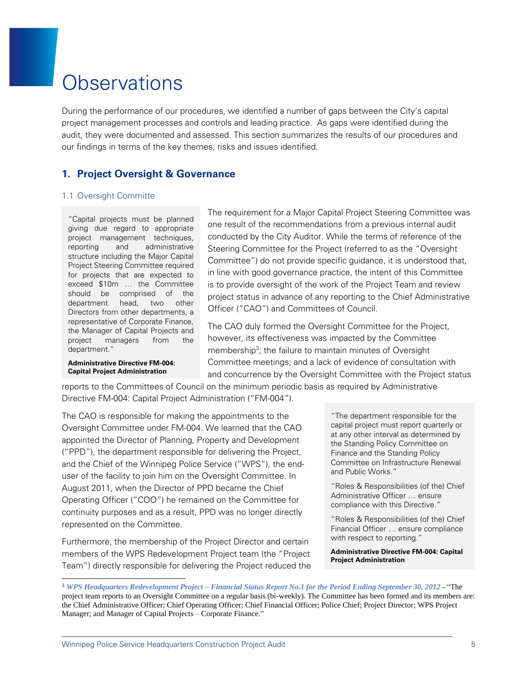# <span id="page-7-0"></span>**Observations**

During the performance of our procedures, we identified a number of gaps between the City's capital project management processes and controls and leading practice. As gaps were identified during the audit, they were documented and assessed. This section summarizes the results of our procedures and our findings in terms of the key themes, risks and issues identified.

### **1. Project Oversight & Governance**

#### 1.1 Oversight Committe

"Capital projects must be planned giving due regard to appropriate project management techniques, reporting and administrative structure including the Major Capital Project Steering Committee required for projects that are expected to exceed \$10m … the Committee should be comprised of the department head, two other Directors from other departments, a representative of Corporate Finance, the Manager of Capital Projects and project managers from the department."

**Administrative Directive FM-004: Capital Project Administration**

 $\overline{a}$ 

The requirement for a Major Capital Project Steering Committee was one result of the recommendations from a previous internal audit conducted by the City Auditor. While the terms of reference of the Steering Committee for the Project (referred to as the "Oversight Committee") do not provide specific guidance, it is understood that, in line with good governance practice, the intent of this Committee is to provide oversight of the work of the Project Team and review project status in advance of any reporting to the Chief Administrative Officer ("CAO") and Committees of Council.

The CAO duly formed the Oversight Committee for the Project, however, its effectiveness was impacted by the Committee membership<sup>3</sup>; the failure to maintain minutes of Oversight Committee meetings; and a lack of evidence of consultation with and concurrence by the Oversight Committee with the Project status

reports to the Committees of Council on the minimum periodic basis as required by Administrative Directive FM-004: Capital Project Administration ("FM-004").

The CAO is responsible for making the appointments to the Oversight Committee under FM-004. We learned that the CAO appointed the Director of Planning, Property and Development ("PPD"), the department responsible for delivering the Project, and the Chief of the Winnipeg Police Service ("WPS"), the enduser of the facility to join him on the Oversight Committee. In August 2011, when the Director of PPD became the Chief Operating Officer ("COO") he remained on the Committee for continuity purposes and as a result, PPD was no longer directly represented on the Committee.

Furthermore, the membership of the Project Director and certain members of the WPS Redevelopment Project team (the "Project Team") directly responsible for delivering the Project reduced the

"The department responsible for the capital project must report quarterly or at any other interval as determined by the Standing Policy Committee on Finance and the Standing Policy Committee on Infrastructure Renewal and Public Works."

"Roles & Responsibilities (of the) Chief Administrative Officer … ensure compliance with this Directive."

"Roles & Responsibilities (of the) Chief Financial Officer … ensure compliance with respect to reporting."

**Administrative Directive FM-004: Capital Project Administration**

<sup>3</sup> *WPS Headquarters Redevelopment Project – Financial Status Report No.1 for the Period Ending September 30, 2012* - "The project team reports to an Oversight Committee on a regular basis (bi-weekly). The Committee has been formed and its members are: the Chief Administrative Officer; Chief Operating Officer; Chief Financial Officer; Police Chief; Project Director; WPS Project Manager; and Manager of Capital Projects – Corporate Finance."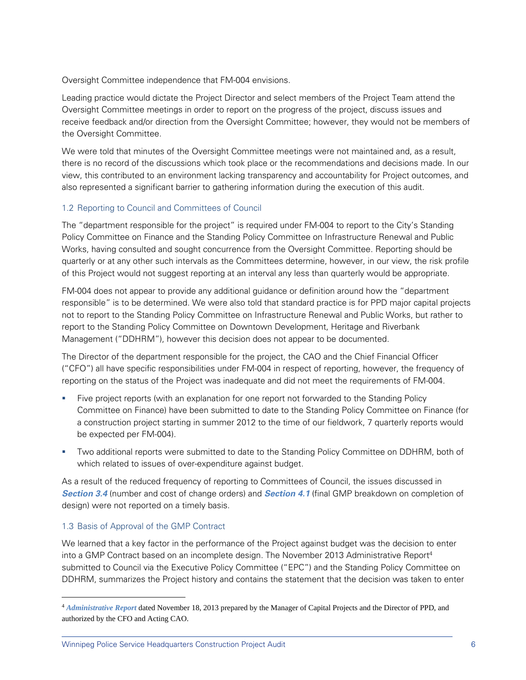Oversight Committee independence that FM-004 envisions.

Leading practice would dictate the Project Director and select members of the Project Team attend the Oversight Committee meetings in order to report on the progress of the project, discuss issues and receive feedback and/or direction from the Oversight Committee; however, they would not be members of the Oversight Committee.

We were told that minutes of the Oversight Committee meetings were not maintained and, as a result, there is no record of the discussions which took place or the recommendations and decisions made. In our view, this contributed to an environment lacking transparency and accountability for Project outcomes, and also represented a significant barrier to gathering information during the execution of this audit.

### 1.2 Reporting to Council and Committees of Council

The "department responsible for the project" is required under FM-004 to report to the City's Standing Policy Committee on Finance and the Standing Policy Committee on Infrastructure Renewal and Public Works, having consulted and sought concurrence from the Oversight Committee. Reporting should be quarterly or at any other such intervals as the Committees determine, however, in our view, the risk profile of this Project would not suggest reporting at an interval any less than quarterly would be appropriate.

FM-004 does not appear to provide any additional guidance or definition around how the "department responsible" is to be determined. We were also told that standard practice is for PPD major capital projects not to report to the Standing Policy Committee on Infrastructure Renewal and Public Works, but rather to report to the Standing Policy Committee on Downtown Development, Heritage and Riverbank Management ("DDHRM"), however this decision does not appear to be documented.

The Director of the department responsible for the project, the CAO and the Chief Financial Officer ("CFO") all have specific responsibilities under FM-004 in respect of reporting, however, the frequency of reporting on the status of the Project was inadequate and did not meet the requirements of FM-004.

- Five project reports (with an explanation for one report not forwarded to the Standing Policy Committee on Finance) have been submitted to date to the Standing Policy Committee on Finance (for a construction project starting in summer 2012 to the time of our fieldwork, 7 quarterly reports would be expected per FM-004).
- Two additional reports were submitted to date to the Standing Policy Committee on DDHRM, both of which related to issues of over-expenditure against budget.

As a result of the reduced frequency of reporting to Committees of Council, the issues discussed in *Section 3.4* (number and cost of change orders) and *Section 4.1* (final GMP breakdown on completion of design) were not reported on a timely basis.

### 1.3 Basis of Approval of the GMP Contract

 $\overline{a}$ 

We learned that a key factor in the performance of the Project against budget was the decision to enter into a GMP Contract based on an incomplete design. The November 2013 Administrative Report<sup>4</sup> submitted to Council via the Executive Policy Committee ("EPC") and the Standing Policy Committee on DDHRM, summarizes the Project history and contains the statement that the decision was taken to enter

<sup>4</sup> *Administrative Report* dated November 18, 2013 prepared by the Manager of Capital Projects and the Director of PPD, and authorized by the CFO and Acting CAO.

Winnipeg Police Service Headquarters Construction Project Audit 6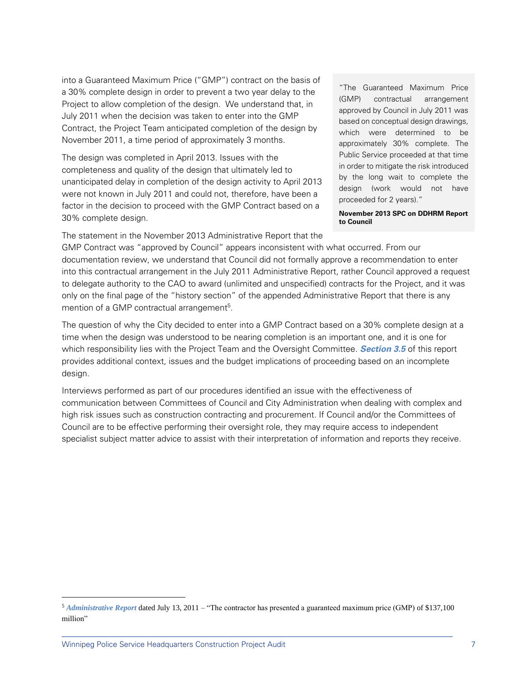into a Guaranteed Maximum Price ("GMP") contract on the basis of a 30% complete design in order to prevent a two year delay to the Project to allow completion of the design. We understand that, in July 2011 when the decision was taken to enter into the GMP Contract, the Project Team anticipated completion of the design by November 2011, a time period of approximately 3 months.

The design was completed in April 2013. Issues with the completeness and quality of the design that ultimately led to unanticipated delay in completion of the design activity to April 2013 were not known in July 2011 and could not, therefore, have been a factor in the decision to proceed with the GMP Contract based on a 30% complete design.

"The Guaranteed Maximum Price (GMP) contractual arrangement approved by Council in July 2011 was based on conceptual design drawings, which were determined to be approximately 30% complete. The Public Service proceeded at that time in order to mitigate the risk introduced by the long wait to complete the design (work would not have proceeded for 2 years)."

**November 2013 SPC on DDHRM Report to Council**

The statement in the November 2013 Administrative Report that the

GMP Contract was "approved by Council" appears inconsistent with what occurred. From our documentation review, we understand that Council did not formally approve a recommendation to enter into this contractual arrangement in the July 2011 Administrative Report, rather Council approved a request to delegate authority to the CAO to award (unlimited and unspecified) contracts for the Project, and it was only on the final page of the "history section" of the appended Administrative Report that there is any mention of a GMP contractual arrangement<sup>5</sup>.

The question of why the City decided to enter into a GMP Contract based on a 30% complete design at a time when the design was understood to be nearing completion is an important one, and it is one for which responsibility lies with the Project Team and the Oversight Committee. *Section 3.5* of this report provides additional context, issues and the budget implications of proceeding based on an incomplete design.

Interviews performed as part of our procedures identified an issue with the effectiveness of communication between Committees of Council and City Administration when dealing with complex and high risk issues such as construction contracting and procurement. If Council and/or the Committees of Council are to be effective performing their oversight role, they may require access to independent specialist subject matter advice to assist with their interpretation of information and reports they receive.

<sup>5</sup> *Administrative Report* dated July 13, 2011 – "The contractor has presented a guaranteed maximum price (GMP) of \$137,100 million"

Winnipeg Police Service Headquarters Construction Project Audit 7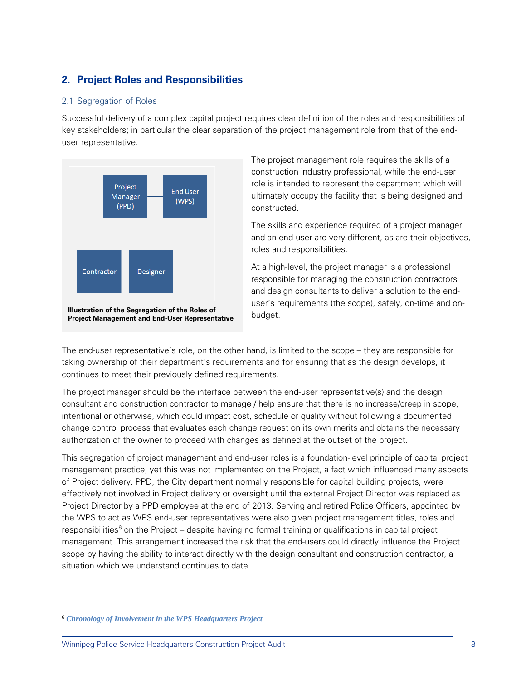# **2. Project Roles and Responsibilities**

#### 2.1 Segregation of Roles

Successful delivery of a complex capital project requires clear definition of the roles and responsibilities of key stakeholders; in particular the clear separation of the project management role from that of the enduser representative.



The project management role requires the skills of a construction industry professional, while the end-user role is intended to represent the department which will ultimately occupy the facility that is being designed and constructed.

The skills and experience required of a project manager and an end-user are very different, as are their objectives, roles and responsibilities.

At a high-level, the project manager is a professional responsible for managing the construction contractors and design consultants to deliver a solution to the enduser's requirements (the scope), safely, on-time and onbudget.

The end-user representative's role, on the other hand, is limited to the scope – they are responsible for taking ownership of their department's requirements and for ensuring that as the design develops, it continues to meet their previously defined requirements.

The project manager should be the interface between the end-user representative(s) and the design consultant and construction contractor to manage / help ensure that there is no increase/creep in scope, intentional or otherwise, which could impact cost, schedule or quality without following a documented change control process that evaluates each change request on its own merits and obtains the necessary authorization of the owner to proceed with changes as defined at the outset of the project.

This segregation of project management and end-user roles is a foundation-level principle of capital project management practice, yet this was not implemented on the Project, a fact which influenced many aspects of Project delivery. PPD, the City department normally responsible for capital building projects, were effectively not involved in Project delivery or oversight until the external Project Director was replaced as Project Director by a PPD employee at the end of 2013. Serving and retired Police Officers, appointed by the WPS to act as WPS end-user representatives were also given project management titles, roles and responsibilities<sup>6</sup> on the Project – despite having no formal training or qualifications in capital project management. This arrangement increased the risk that the end-users could directly influence the Project scope by having the ability to interact directly with the design consultant and construction contractor, a situation which we understand continues to date.

<sup>6</sup> *Chronology of Involvement in the WPS Headquarters Project*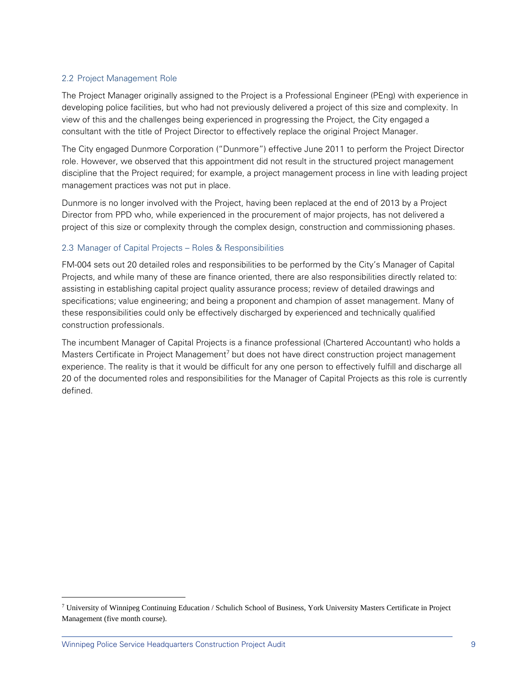#### 2.2 Project Management Role

The Project Manager originally assigned to the Project is a Professional Engineer (PEng) with experience in developing police facilities, but who had not previously delivered a project of this size and complexity. In view of this and the challenges being experienced in progressing the Project, the City engaged a consultant with the title of Project Director to effectively replace the original Project Manager.

The City engaged Dunmore Corporation ("Dunmore") effective June 2011 to perform the Project Director role. However, we observed that this appointment did not result in the structured project management discipline that the Project required; for example, a project management process in line with leading project management practices was not put in place.

Dunmore is no longer involved with the Project, having been replaced at the end of 2013 by a Project Director from PPD who, while experienced in the procurement of major projects, has not delivered a project of this size or complexity through the complex design, construction and commissioning phases.

#### 2.3 Manager of Capital Projects – Roles & Responsibilities

FM-004 sets out 20 detailed roles and responsibilities to be performed by the City's Manager of Capital Projects, and while many of these are finance oriented, there are also responsibilities directly related to: assisting in establishing capital project quality assurance process; review of detailed drawings and specifications; value engineering; and being a proponent and champion of asset management. Many of these responsibilities could only be effectively discharged by experienced and technically qualified construction professionals.

The incumbent Manager of Capital Projects is a finance professional (Chartered Accountant) who holds a Masters Certificate in Project Management<sup>7</sup> but does not have direct construction project management experience. The reality is that it would be difficult for any one person to effectively fulfill and discharge all 20 of the documented roles and responsibilities for the Manager of Capital Projects as this role is currently defined.

<sup>7</sup> University of Winnipeg Continuing Education / Schulich School of Business, York University Masters Certificate in Project Management (five month course).

Winnipeg Police Service Headquarters Construction Project Audit 9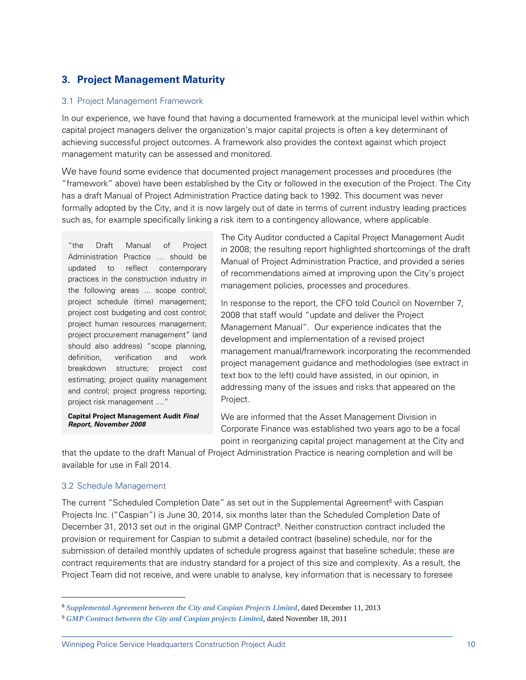## **3. Project Management Maturity**

#### 3.1 Project Management Framework

In our experience, we have found that having a documented framework at the municipal level within which capital project managers deliver the organization's major capital projects is often a key determinant of achieving successful project outcomes. A framework also provides the context against which project management maturity can be assessed and monitored.

We have found some evidence that documented project management processes and procedures (the "framework" above) have been established by the City or followed in the execution of the Project. The City has a draft Manual of Project Administration Practice dating back to 1992. This document was never formally adopted by the City, and it is now largely out of date in terms of current industry leading practices such as, for example specifically linking a risk item to a contingency allowance, where applicable.

"the Draft Manual of Project Administration Practice … should be updated to reflect contemporary practices in the construction industry in the following areas ... scope control; project schedule (time) management; project cost budgeting and cost control; project human resources management; project procurement management" (and should also address) "scope planning, definition, verification and work breakdown structure; project cost estimating; project quality management and control; project progress reporting; project risk management ...."

**Capital Project Management Audit** *Final Report, November 2008* 

The City Auditor conducted a Capital Project Management Audit in 2008; the resulting report highlighted shortcomings of the draft Manual of Project Administration Practice, and provided a series of recommendations aimed at improving upon the City's project management policies, processes and procedures.

In response to the report, the CFO told Council on November 7, 2008 that staff would "update and deliver the Project Management Manual". Our experience indicates that the development and implementation of a revised project management manual/framework incorporating the recommended project management guidance and methodologies (see extract in text box to the left) could have assisted, in our opinion, in addressing many of the issues and risks that appeared on the Project.

We are informed that the Asset Management Division in Corporate Finance was established two years ago to be a focal point in reorganizing capital project management at the City and

that the update to the draft Manual of Project Administration Practice is nearing completion and will be available for use in Fall 2014.

#### 3.2 Schedule Management

 $\overline{a}$ 

The current "Scheduled Completion Date" as set out in the Supplemental Agreement<sup>8</sup> with Caspian Projects Inc. ("Caspian") is June 30, 2014, six months later than the Scheduled Completion Date of December 31, 2013 set out in the original GMP Contract<sup>9</sup>. Neither construction contract included the provision or requirement for Caspian to submit a detailed contract (baseline) schedule, nor for the submission of detailed monthly updates of schedule progress against that baseline schedule; these are contract requirements that are industry standard for a project of this size and complexity. As a result, the Project Team did not receive, and were unable to analyse, key information that is necessary to foresee

<sup>8</sup> *Supplemental Agreement between the City and Caspian Projects Limited*, dated December 11, 2013

<sup>9</sup> *GMP Contract between the City and Caspian projects Limited*, dated November 18, 2011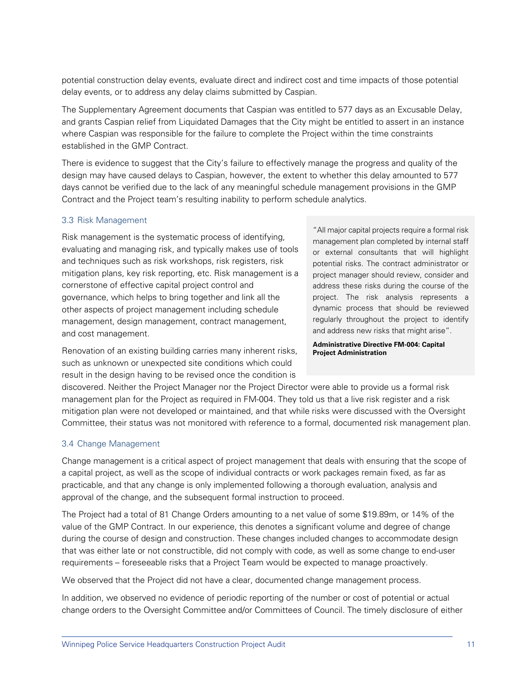potential construction delay events, evaluate direct and indirect cost and time impacts of those potential delay events, or to address any delay claims submitted by Caspian.

The Supplementary Agreement documents that Caspian was entitled to 577 days as an Excusable Delay, and grants Caspian relief from Liquidated Damages that the City might be entitled to assert in an instance where Caspian was responsible for the failure to complete the Project within the time constraints established in the GMP Contract.

There is evidence to suggest that the City's failure to effectively manage the progress and quality of the design may have caused delays to Caspian, however, the extent to whether this delay amounted to 577 days cannot be verified due to the lack of any meaningful schedule management provisions in the GMP Contract and the Project team's resulting inability to perform schedule analytics.

#### 3.3 Risk Management

Risk management is the systematic process of identifying, evaluating and managing risk, and typically makes use of tools and techniques such as risk workshops, risk registers, risk mitigation plans, key risk reporting, etc. Risk management is a cornerstone of effective capital project control and governance, which helps to bring together and link all the other aspects of project management including schedule management, design management, contract management, and cost management.

Renovation of an existing building carries many inherent risks, such as unknown or unexpected site conditions which could result in the design having to be revised once the condition is

"All major capital projects require a formal risk management plan completed by internal staff or external consultants that will highlight potential risks. The contract administrator or project manager should review, consider and address these risks during the course of the project. The risk analysis represents a dynamic process that should be reviewed regularly throughout the project to identify and address new risks that might arise".

**Administrative Directive FM-004: Capital Project Administration**

discovered. Neither the Project Manager nor the Project Director were able to provide us a formal risk management plan for the Project as required in FM-004. They told us that a live risk register and a risk mitigation plan were not developed or maintained, and that while risks were discussed with the Oversight Committee, their status was not monitored with reference to a formal, documented risk management plan.

#### 3.4 Change Management

Change management is a critical aspect of project management that deals with ensuring that the scope of a capital project, as well as the scope of individual contracts or work packages remain fixed, as far as practicable, and that any change is only implemented following a thorough evaluation, analysis and approval of the change, and the subsequent formal instruction to proceed.

The Project had a total of 81 Change Orders amounting to a net value of some \$19.89m, or 14% of the value of the GMP Contract. In our experience, this denotes a significant volume and degree of change during the course of design and construction. These changes included changes to accommodate design that was either late or not constructible, did not comply with code, as well as some change to end-user requirements – foreseeable risks that a Project Team would be expected to manage proactively.

We observed that the Project did not have a clear, documented change management process.

In addition, we observed no evidence of periodic reporting of the number or cost of potential or actual change orders to the Oversight Committee and/or Committees of Council. The timely disclosure of either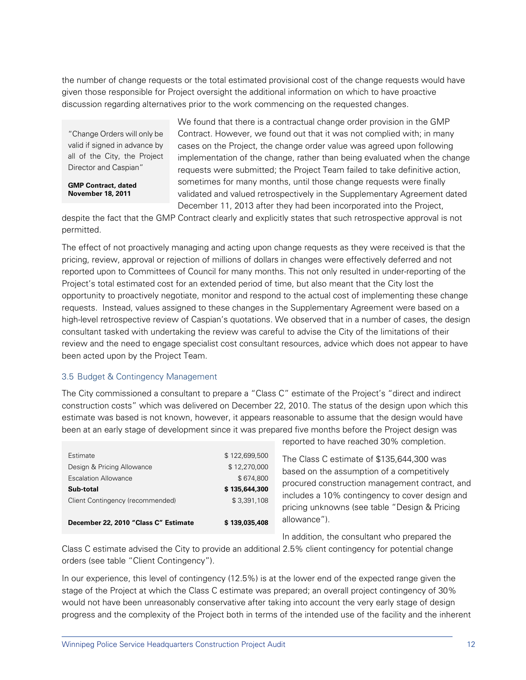the number of change requests or the total estimated provisional cost of the change requests would have given those responsible for Project oversight the additional information on which to have proactive discussion regarding alternatives prior to the work commencing on the requested changes.

"Change Orders will only be valid if signed in advance by all of the City, the Project Director and Caspian"

**GMP Contract, dated November 18, 2011**

We found that there is a contractual change order provision in the GMP Contract. However, we found out that it was not complied with; in many cases on the Project, the change order value was agreed upon following implementation of the change, rather than being evaluated when the change requests were submitted; the Project Team failed to take definitive action, sometimes for many months, until those change requests were finally validated and valued retrospectively in the Supplementary Agreement dated December 11, 2013 after they had been incorporated into the Project,

despite the fact that the GMP Contract clearly and explicitly states that such retrospective approval is not permitted.

The effect of not proactively managing and acting upon change requests as they were received is that the pricing, review, approval or rejection of millions of dollars in changes were effectively deferred and not reported upon to Committees of Council for many months. This not only resulted in under-reporting of the Project's total estimated cost for an extended period of time, but also meant that the City lost the opportunity to proactively negotiate, monitor and respond to the actual cost of implementing these change requests. Instead, values assigned to these changes in the Supplementary Agreement were based on a high-level retrospective review of Caspian's quotations. We observed that in a number of cases, the design consultant tasked with undertaking the review was careful to advise the City of the limitations of their review and the need to engage specialist cost consultant resources, advice which does not appear to have been acted upon by the Project Team.

#### 3.5 Budget & Contingency Management

The City commissioned a consultant to prepare a "Class C" estimate of the Project's "direct and indirect construction costs" which was delivered on December 22, 2010. The status of the design upon which this estimate was based is not known, however, it appears reasonable to assume that the design would have been at an early stage of development since it was prepared five months before the Project design was

| \$3,391,108                |
|----------------------------|
| \$674,800<br>\$135,644,300 |
| \$12,270,000               |
| \$122,699,500              |
|                            |

reported to have reached 30% completion.

The Class C estimate of \$135,644,300 was based on the assumption of a competitively procured construction management contract, and includes a 10% contingency to cover design and pricing unknowns (see table "Design & Pricing allowance").

In addition, the consultant who prepared the

Class C estimate advised the City to provide an additional 2.5% client contingency for potential change orders (see table "Client Contingency").

In our experience, this level of contingency (12.5%) is at the lower end of the expected range given the stage of the Project at which the Class C estimate was prepared; an overall project contingency of 30% would not have been unreasonably conservative after taking into account the very early stage of design progress and the complexity of the Project both in terms of the intended use of the facility and the inherent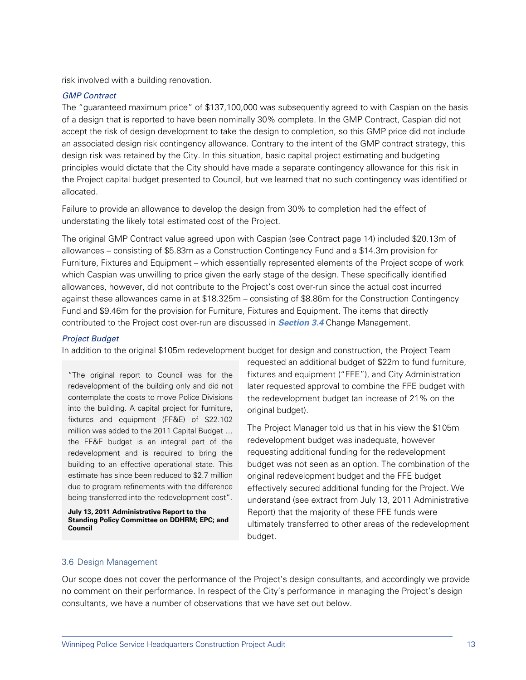risk involved with a building renovation.

#### *GMP Contract*

The "guaranteed maximum price" of \$137,100,000 was subsequently agreed to with Caspian on the basis of a design that is reported to have been nominally 30% complete. In the GMP Contract, Caspian did not accept the risk of design development to take the design to completion, so this GMP price did not include an associated design risk contingency allowance. Contrary to the intent of the GMP contract strategy, this design risk was retained by the City. In this situation, basic capital project estimating and budgeting principles would dictate that the City should have made a separate contingency allowance for this risk in the Project capital budget presented to Council, but we learned that no such contingency was identified or allocated.

Failure to provide an allowance to develop the design from 30% to completion had the effect of understating the likely total estimated cost of the Project.

The original GMP Contract value agreed upon with Caspian (see Contract page 14) included \$20.13m of allowances – consisting of \$5.83m as a Construction Contingency Fund and a \$14.3m provision for Furniture, Fixtures and Equipment – which essentially represented elements of the Project scope of work which Caspian was unwilling to price given the early stage of the design. These specifically identified allowances, however, did not contribute to the Project's cost over-run since the actual cost incurred against these allowances came in at \$18.325m – consisting of \$8.86m for the Construction Contingency Fund and \$9.46m for the provision for Furniture, Fixtures and Equipment. The items that directly contributed to the Project cost over-run are discussed in *Section 3.4* Change Management.

#### *Project Budget*

In addition to the original \$105m redevelopment budget for design and construction, the Project Team

"The original report to Council was for the redevelopment of the building only and did not contemplate the costs to move Police Divisions into the building. A capital project for furniture, fixtures and equipment (FF&E) of \$22.102 million was added to the 2011 Capital Budget … the FF&E budget is an integral part of the redevelopment and is required to bring the building to an effective operational state. This estimate has since been reduced to \$2.7 million due to program refinements with the difference being transferred into the redevelopment cost".

**July 13, 2011 Administrative Report to the Standing Policy Committee on DDHRM; EPC; and Council**

requested an additional budget of \$22m to fund furniture, fixtures and equipment ("FFE"), and City Administration later requested approval to combine the FFE budget with the redevelopment budget (an increase of 21% on the original budget).

The Project Manager told us that in his view the \$105m redevelopment budget was inadequate, however requesting additional funding for the redevelopment budget was not seen as an option. The combination of the original redevelopment budget and the FFE budget effectively secured additional funding for the Project. We understand (see extract from July 13, 2011 Administrative Report) that the majority of these FFE funds were ultimately transferred to other areas of the redevelopment budget.

#### 3.6 Design Management

Our scope does not cover the performance of the Project's design consultants, and accordingly we provide no comment on their performance. In respect of the City's performance in managing the Project's design consultants, we have a number of observations that we have set out below.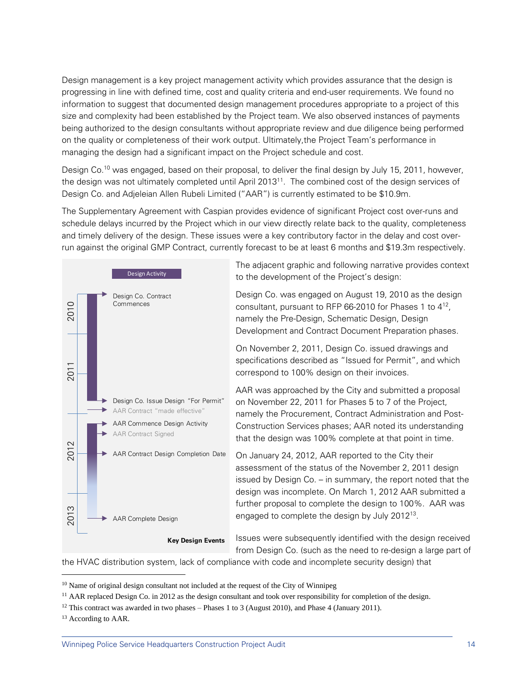Design management is a key project management activity which provides assurance that the design is progressing in line with defined time, cost and quality criteria and end-user requirements. We found no information to suggest that documented design management procedures appropriate to a project of this size and complexity had been established by the Project team. We also observed instances of payments being authorized to the design consultants without appropriate review and due diligence being performed on the quality or completeness of their work output. Ultimately,the Project Team's performance in managing the design had a significant impact on the Project schedule and cost.

Design Co.<sup>10</sup> was engaged, based on their proposal, to deliver the final design by July 15, 2011, however, the design was not ultimately completed until April 2013<sup>11</sup>. The combined cost of the design services of Design Co. and Adjeleian Allen Rubeli Limited ("AAR") is currently estimated to be \$10.9m.

The Supplementary Agreement with Caspian provides evidence of significant Project cost over-runs and schedule delays incurred by the Project which in our view directly relate back to the quality, completeness and timely delivery of the design. These issues were a key contributory factor in the delay and cost overrun against the original GMP Contract, currently forecast to be at least 6 months and \$19.3m respectively.



the HVAC distribution system, lack of compliance with code and incomplete security design) that

<sup>&</sup>lt;sup>10</sup> Name of original design consultant not included at the request of the City of Winnipeg

 $<sup>11</sup> AAR replaced Design Co. in 2012 as the design consultant and took over responsibility for completion of the design.$ </sup>

<sup>&</sup>lt;sup>12</sup> This contract was awarded in two phases – Phases 1 to 3 (August 2010), and Phase 4 (January 2011).

<sup>&</sup>lt;sup>13</sup> According to AAR.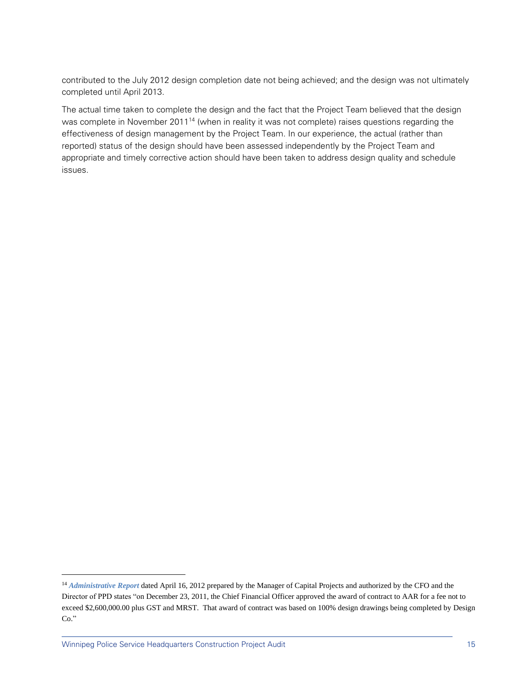contributed to the July 2012 design completion date not being achieved; and the design was not ultimately completed until April 2013.

The actual time taken to complete the design and the fact that the Project Team believed that the design was complete in November 2011<sup>14</sup> (when in reality it was not complete) raises questions regarding the effectiveness of design management by the Project Team. In our experience, the actual (rather than reported) status of the design should have been assessed independently by the Project Team and appropriate and timely corrective action should have been taken to address design quality and schedule issues.

<sup>&</sup>lt;sup>14</sup> *Administrative Report* dated April 16, 2012 prepared by the Manager of Capital Projects and authorized by the CFO and the Director of PPD states "on December 23, 2011, the Chief Financial Officer approved the award of contract to AAR for a fee not to exceed \$2,600,000.00 plus GST and MRST. That award of contract was based on 100% design drawings being completed by Design Co."

Winnipeg Police Service Headquarters Construction Project Audit 15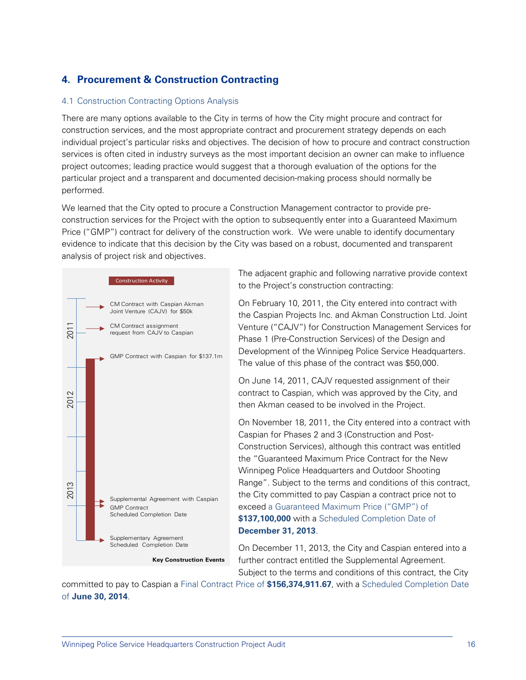# **4. Procurement & Construction Contracting**

### 4.1 Construction Contracting Options Analysis

There are many options available to the City in terms of how the City might procure and contract for construction services, and the most appropriate contract and procurement strategy depends on each individual project's particular risks and objectives. The decision of how to procure and contract construction services is often cited in industry surveys as the most important decision an owner can make to influence project outcomes; leading practice would suggest that a thorough evaluation of the options for the particular project and a transparent and documented decision-making process should normally be performed.

We learned that the City opted to procure a Construction Management contractor to provide preconstruction services for the Project with the option to subsequently enter into a Guaranteed Maximum Price ("GMP") contract for delivery of the construction work. We were unable to identify documentary evidence to indicate that this decision by the City was based on a robust, documented and transparent analysis of project risk and objectives.



The adjacent graphic and following narrative provide context to the Project's construction contracting:

On February 10, 2011, the City entered into contract with the Caspian Projects Inc. and Akman Construction Ltd. Joint Venture ("CAJV") for Construction Management Services for Phase 1 (Pre-Construction Services) of the Design and Development of the Winnipeg Police Service Headquarters. The value of this phase of the contract was \$50,000.

On June 14, 2011, CAJV requested assignment of their contract to Caspian, which was approved by the City, and then Akman ceased to be involved in the Project.

On November 18, 2011, the City entered into a contract with Caspian for Phases 2 and 3 (Construction and Post-Construction Services), although this contract was entitled the "Guaranteed Maximum Price Contract for the New Winnipeg Police Headquarters and Outdoor Shooting Range". Subject to the terms and conditions of this contract, the City committed to pay Caspian a contract price not to exceed a Guaranteed Maximum Price ("GMP") of **\$137,100,000** with a Scheduled Completion Date of **December 31, 2013**.

On December 11, 2013, the City and Caspian entered into a further contract entitled the Supplemental Agreement. Subject to the terms and conditions of this contract, the City

committed to pay to Caspian a Final Contract Price of **\$156,374,911.67**, with a Scheduled Completion Date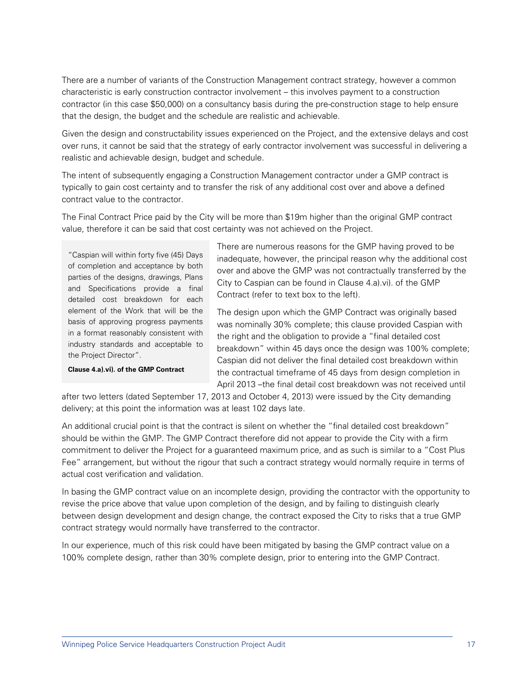There are a number of variants of the Construction Management contract strategy, however a common characteristic is early construction contractor involvement – this involves payment to a construction contractor (in this case \$50,000) on a consultancy basis during the pre-construction stage to help ensure that the design, the budget and the schedule are realistic and achievable.

Given the design and constructability issues experienced on the Project, and the extensive delays and cost over runs, it cannot be said that the strategy of early contractor involvement was successful in delivering a realistic and achievable design, budget and schedule.

The intent of subsequently engaging a Construction Management contractor under a GMP contract is typically to gain cost certainty and to transfer the risk of any additional cost over and above a defined contract value to the contractor.

The Final Contract Price paid by the City will be more than \$19m higher than the original GMP contract value, therefore it can be said that cost certainty was not achieved on the Project.

"Caspian will within forty five (45) Days of completion and acceptance by both parties of the designs, drawings, Plans and Specifications provide a final detailed cost breakdown for each element of the Work that will be the basis of approving progress payments in a format reasonably consistent with industry standards and acceptable to the Project Director".

#### **Clause 4.a).vi). of the GMP Contract**

There are numerous reasons for the GMP having proved to be inadequate, however, the principal reason why the additional cost over and above the GMP was not contractually transferred by the City to Caspian can be found in Clause 4.a).vi). of the GMP Contract (refer to text box to the left).

The design upon which the GMP Contract was originally based was nominally 30% complete; this clause provided Caspian with the right and the obligation to provide a "final detailed cost breakdown" within 45 days once the design was 100% complete; Caspian did not deliver the final detailed cost breakdown within the contractual timeframe of 45 days from design completion in April 2013 -the final detail cost breakdown was not received until

after two letters (dated September 17, 2013 and October 4, 2013) were issued by the City demanding delivery; at this point the information was at least 102 days late.

An additional crucial point is that the contract is silent on whether the "final detailed cost breakdown" should be within the GMP. The GMP Contract therefore did not appear to provide the City with a firm commitment to deliver the Project for a guaranteed maximum price, and as such is similar to a "Cost Plus Fee" arrangement, but without the rigour that such a contract strategy would normally require in terms of actual cost verification and validation.

In basing the GMP contract value on an incomplete design, providing the contractor with the opportunity to revise the price above that value upon completion of the design, and by failing to distinguish clearly between design development and design change, the contract exposed the City to risks that a true GMP contract strategy would normally have transferred to the contractor.

In our experience, much of this risk could have been mitigated by basing the GMP contract value on a 100% complete design, rather than 30% complete design, prior to entering into the GMP Contract.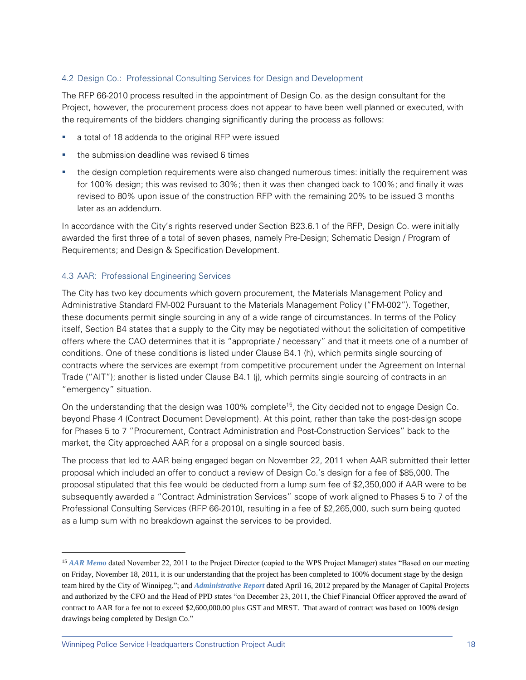### 4.2 Design Co.: Professional Consulting Services for Design and Development

The RFP 66-2010 process resulted in the appointment of Design Co. as the design consultant for the Project, however, the procurement process does not appear to have been well planned or executed, with the requirements of the bidders changing significantly during the process as follows:

- a total of 18 addenda to the original RFP were issued
- the submission deadline was revised 6 times
- the design completion requirements were also changed numerous times: initially the requirement was for 100% design; this was revised to 30%; then it was then changed back to 100%; and finally it was revised to 80% upon issue of the construction RFP with the remaining 20% to be issued 3 months later as an addendum.

In accordance with the City's rights reserved under Section B23.6.1 of the RFP, Design Co. were initially awarded the first three of a total of seven phases, namely Pre-Design; Schematic Design / Program of Requirements; and Design & Specification Development.

#### 4.3 AAR: Professional Engineering Services

The City has two key documents which govern procurement, the Materials Management Policy and Administrative Standard FM-002 Pursuant to the Materials Management Policy ("FM-002"). Together, these documents permit single sourcing in any of a wide range of circumstances. In terms of the Policy itself, Section B4 states that a supply to the City may be negotiated without the solicitation of competitive offers where the CAO determines that it is "appropriate / necessary" and that it meets one of a number of conditions. One of these conditions is listed under Clause B4.1 (h), which permits single sourcing of contracts where the services are exempt from competitive procurement under the Agreement on Internal Trade ("AIT"); another is listed under Clause B4.1 (j), which permits single sourcing of contracts in an "emergency" situation.

On the understanding that the design was 100% complete<sup>15</sup>, the City decided not to engage Design Co. beyond Phase 4 (Contract Document Development). At this point, rather than take the post-design scope for Phases 5 to 7 "Procurement, Contract Administration and Post-Construction Services" back to the market, the City approached AAR for a proposal on a single sourced basis.

The process that led to AAR being engaged began on November 22, 2011 when AAR submitted their letter proposal which included an offer to conduct a review of Design Co.'s design for a fee of \$85,000. The proposal stipulated that this fee would be deducted from a lump sum fee of \$2,350,000 if AAR were to be subsequently awarded a "Contract Administration Services" scope of work aligned to Phases 5 to 7 of the Professional Consulting Services (RFP 66-2010), resulting in a fee of \$2,265,000, such sum being quoted as a lump sum with no breakdown against the services to be provided.

<sup>&</sup>lt;sup>15</sup> AAR Memo dated November 22, 2011 to the Project Director (copied to the WPS Project Manager) states "Based on our meeting on Friday, November 18, 2011, it is our understanding that the project has been completed to 100% document stage by the design team hired by the City of Winnipeg."; and *Administrative Report* dated April 16, 2012 prepared by the Manager of Capital Projects and authorized by the CFO and the Head of PPD states "on December 23, 2011, the Chief Financial Officer approved the award of contract to AAR for a fee not to exceed \$2,600,000.00 plus GST and MRST. That award of contract was based on 100% design drawings being completed by Design Co."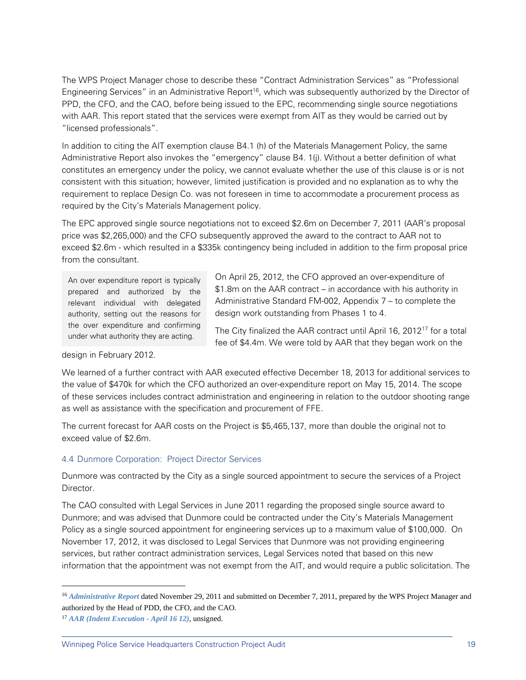The WPS Project Manager chose to describe these "Contract Administration Services" as "Professional Engineering Services" in an Administrative Report<sup>16</sup>, which was subsequently authorized by the Director of PPD, the CFO, and the CAO, before being issued to the EPC, recommending single source negotiations with AAR. This report stated that the services were exempt from AIT as they would be carried out by "licensed professionals".

In addition to citing the AIT exemption clause B4.1 (h) of the Materials Management Policy, the same Administrative Report also invokes the "emergency" clause B4. 1(j). Without a better definition of what constitutes an emergency under the policy, we cannot evaluate whether the use of this clause is or is not consistent with this situation; however, limited justification is provided and no explanation as to why the requirement to replace Design Co. was not foreseen in time to accommodate a procurement process as required by the City's Materials Management policy.

The EPC approved single source negotiations not to exceed \$2.6m on December 7, 2011 (AAR's proposal price was \$2,265,000) and the CFO subsequently approved the award to the contract to AAR not to exceed \$2.6m - which resulted in a \$335k contingency being included in addition to the firm proposal price from the consultant.

An over expenditure report is typically prepared and authorized by the relevant individual with delegated authority, setting out the reasons for the over expenditure and confirming under what authority they are acting.

On April 25, 2012, the CFO approved an over-expenditure of \$1.8m on the AAR contract – in accordance with his authority in Administrative Standard FM-002, Appendix 7 – to complete the design work outstanding from Phases 1 to 4.

The City finalized the AAR contract until April 16, 2012<sup>17</sup> for a total fee of \$4.4m. We were told by AAR that they began work on the

design in February 2012.

We learned of a further contract with AAR executed effective December 18, 2013 for additional services to the value of \$470k for which the CFO authorized an over-expenditure report on May 15, 2014. The scope of these services includes contract administration and engineering in relation to the outdoor shooting range as well as assistance with the specification and procurement of FFE.

The current forecast for AAR costs on the Project is \$5,465,137, more than double the original not to exceed value of \$2.6m.

### 4.4 Dunmore Corporation: Project Director Services

Dunmore was contracted by the City as a single sourced appointment to secure the services of a Project Director.

The CAO consulted with Legal Services in June 2011 regarding the proposed single source award to Dunmore; and was advised that Dunmore could be contracted under the City's Materials Management Policy as a single sourced appointment for engineering services up to a maximum value of \$100,000. On November 17, 2012, it was disclosed to Legal Services that Dunmore was not providing engineering services, but rather contract administration services, Legal Services noted that based on this new information that the appointment was not exempt from the AIT, and would require a public solicitation. The

<sup>16</sup> *Administrative Report* dated November 29, 2011 and submitted on December 7, 2011, prepared by the WPS Project Manager and authorized by the Head of PDD, the CFO, and the CAO.

<sup>17</sup> *AAR (Indent Execution - April 16 12)*, unsigned.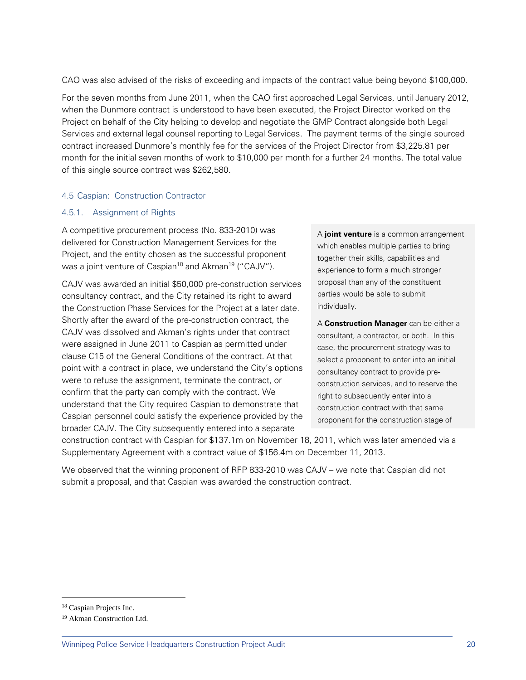CAO was also advised of the risks of exceeding and impacts of the contract value being beyond \$100,000.

For the seven months from June 2011, when the CAO first approached Legal Services, until January 2012, when the Dunmore contract is understood to have been executed, the Project Director worked on the Project on behalf of the City helping to develop and negotiate the GMP Contract alongside both Legal Services and external legal counsel reporting to Legal Services. The payment terms of the single sourced contract increased Dunmore's monthly fee for the services of the Project Director from \$3,225.81 per month for the initial seven months of work to \$10,000 per month for a further 24 months. The total value of this single source contract was \$262,580.

#### 4.5 Caspian: Construction Contractor

#### 4.5.1. Assignment of Rights

A competitive procurement process (No. 833-2010) was delivered for Construction Management Services for the Project, and the entity chosen as the successful proponent was a joint venture of Caspian<sup>18</sup> and Akman<sup>19</sup> ("CAJV").

CAJV was awarded an initial \$50,000 pre-construction services consultancy contract, and the City retained its right to award the Construction Phase Services for the Project at a later date. Shortly after the award of the pre-construction contract, the CAJV was dissolved and Akman's rights under that contract were assigned in June 2011 to Caspian as permitted under clause C15 of the General Conditions of the contract. At that point with a contract in place, we understand the City's options were to refuse the assignment, terminate the contract, or confirm that the party can comply with the contract. We understand that the City required Caspian to demonstrate that Caspian personnel could satisfy the experience provided by the broader CAJV. The City subsequently entered into a separate

A **joint venture** is a common arrangement which enables multiple parties to bring together their skills, capabilities and experience to form a much stronger proposal than any of the constituent parties would be able to submit individually.

A **Construction Manager** can be either a consultant, a contractor, or both. In this case, the procurement strategy was to select a proponent to enter into an initial consultancy contract to provide preconstruction services, and to reserve the right to subsequently enter into a construction contract with that same proponent for the construction stage of

construction contract with Caspian for \$137.1m on November 18, 2011, which was later amended via a Supplementary Agreement with a contract value of \$156.4m on December 11, 2013.

We observed that the winning proponent of RFP 833-2010 was CAJV – we note that Caspian did not submit a proposal, and that Caspian was awarded the construction contract.

<sup>18</sup> Caspian Projects Inc.

<sup>19</sup> Akman Construction Ltd.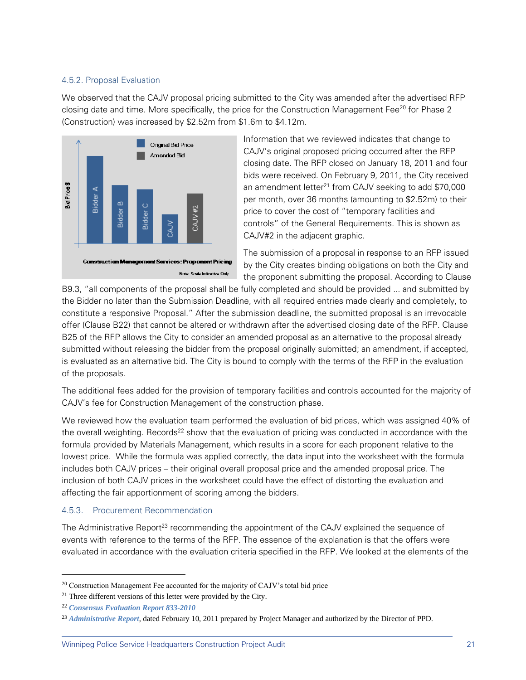#### 4.5.2. Proposal Evaluation

We observed that the CAJV proposal pricing submitted to the City was amended after the advertised RFP closing date and time. More specifically, the price for the Construction Management Fee<sup>20</sup> for Phase 2 (Construction) was increased by \$2.52m from \$1.6m to \$4.12m.



Information that we reviewed indicates that change to CAJV's original proposed pricing occurred after the RFP closing date. The RFP closed on January 18, 2011 and four bids were received. On February 9, 2011, the City received an amendment letter<sup>21</sup> from CAJV seeking to add \$70,000 per month, over 36 months (amounting to \$2.52m) to their price to cover the cost of "temporary facilities and controls" of the General Requirements. This is shown as CAJV#2 in the adjacent graphic.

The submission of a proposal in response to an RFP issued by the City creates binding obligations on both the City and the proponent submitting the proposal. According to Clause

B9.3, "all components of the proposal shall be fully completed and should be provided ... and submitted by the Bidder no later than the Submission Deadline, with all required entries made clearly and completely, to constitute a responsive Proposal." After the submission deadline, the submitted proposal is an irrevocable offer (Clause B22) that cannot be altered or withdrawn after the advertised closing date of the RFP. Clause B25 of the RFP allows the City to consider an amended proposal as an alternative to the proposal already submitted without releasing the bidder from the proposal originally submitted; an amendment, if accepted, is evaluated as an alternative bid. The City is bound to comply with the terms of the RFP in the evaluation of the proposals.

The additional fees added for the provision of temporary facilities and controls accounted for the majority of CAJV's fee for Construction Management of the construction phase.

We reviewed how the evaluation team performed the evaluation of bid prices, which was assigned 40% of the overall weighting. Records<sup>22</sup> show that the evaluation of pricing was conducted in accordance with the formula provided by Materials Management, which results in a score for each proponent relative to the lowest price. While the formula was applied correctly, the data input into the worksheet with the formula includes both CAJV prices – their original overall proposal price and the amended proposal price. The inclusion of both CAJV prices in the worksheet could have the effect of distorting the evaluation and affecting the fair apportionment of scoring among the bidders.

#### 4.5.3. Procurement Recommendation

The Administrative Report<sup>23</sup> recommending the appointment of the CAJV explained the sequence of events with reference to the terms of the RFP. The essence of the explanation is that the offers were evaluated in accordance with the evaluation criteria specified in the RFP. We looked at the elements of the

<sup>&</sup>lt;sup>20</sup> Construction Management Fee accounted for the majority of CAJV's total bid price

 $21$  Three different versions of this letter were provided by the City.

<sup>22</sup> *Consensus Evaluation Report 833-2010*

<sup>23</sup> *Administrative Report*, dated February 10, 2011 prepared by Project Manager and authorized by the Director of PPD.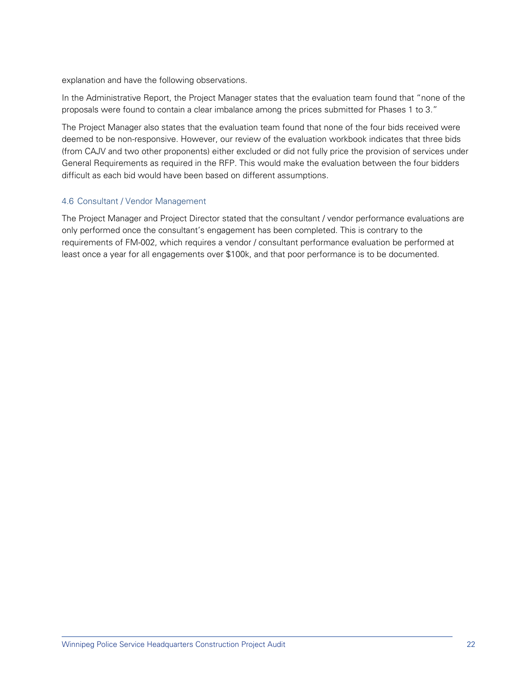explanation and have the following observations.

In the Administrative Report, the Project Manager states that the evaluation team found that "none of the proposals were found to contain a clear imbalance among the prices submitted for Phases 1 to 3."

The Project Manager also states that the evaluation team found that none of the four bids received were deemed to be non-responsive. However, our review of the evaluation workbook indicates that three bids (from CAJV and two other proponents) either excluded or did not fully price the provision of services under General Requirements as required in the RFP. This would make the evaluation between the four bidders difficult as each bid would have been based on different assumptions.

#### 4.6 Consultant / Vendor Management

The Project Manager and Project Director stated that the consultant / vendor performance evaluations are only performed once the consultant's engagement has been completed. This is contrary to the requirements of FM-002, which requires a vendor / consultant performance evaluation be performed at least once a year for all engagements over \$100k, and that poor performance is to be documented.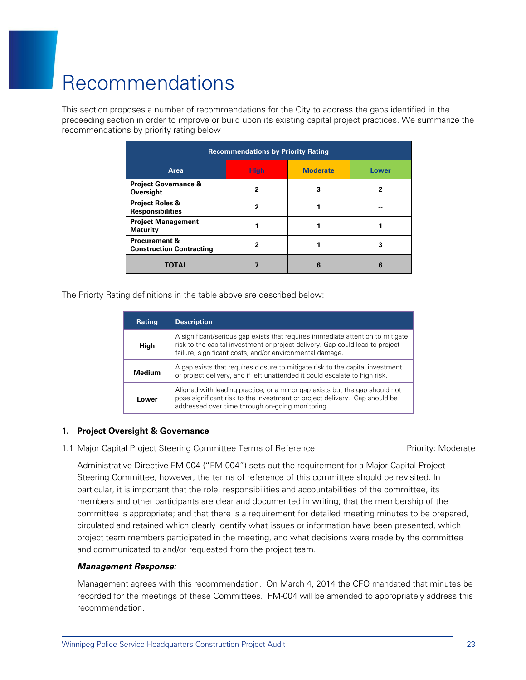# <span id="page-25-0"></span>Recommendations

This section proposes a number of recommendations for the City to address the gaps identified in the preceeding section in order to improve or build upon its existing capital project practices. We summarize the recommendations by priority rating below

| <b>Recommendations by Priority Rating</b>                   |             |                 |       |  |
|-------------------------------------------------------------|-------------|-----------------|-------|--|
| Area                                                        | <b>High</b> | <b>Moderate</b> | Lower |  |
| <b>Project Governance &amp;</b><br>Oversight                | 2           | 3               | 2     |  |
| <b>Project Roles &amp;</b><br><b>Responsibilities</b>       | 2           |                 | --    |  |
| <b>Project Management</b><br><b>Maturity</b>                |             |                 |       |  |
| <b>Procurement &amp;</b><br><b>Construction Contracting</b> |             |                 | 3     |  |
| <b>TOTAL</b>                                                |             |                 |       |  |

The Priorty Rating definitions in the table above are described below:

| <b>Rating</b> | <b>Description</b>                                                                                                                                                                                                          |
|---------------|-----------------------------------------------------------------------------------------------------------------------------------------------------------------------------------------------------------------------------|
| High          | A significant/serious gap exists that requires immediate attention to mitigate<br>risk to the capital investment or project delivery. Gap could lead to project<br>failure, significant costs, and/or environmental damage. |
| Medium        | A gap exists that requires closure to mitigate risk to the capital investment<br>or project delivery, and if left unattended it could escalate to high risk.                                                                |
| Lower         | Aligned with leading practice, or a minor gap exists but the gap should not<br>pose significant risk to the investment or project delivery. Gap should be<br>addressed over time through on-going monitoring.               |

#### **1. Project Oversight & Governance**

1.1 Major Capital Project Steering Committee Terms of Reference **Priority: Priority: Moderate** 

Administrative Directive FM-004 ("FM-004") sets out the requirement for a Major Capital Project Steering Committee, however, the terms of reference of this committee should be revisited. In particular, it is important that the role, responsibilities and accountabilities of the committee, its members and other participants are clear and documented in writing; that the membership of the committee is appropriate; and that there is a requirement for detailed meeting minutes to be prepared, circulated and retained which clearly identify what issues or information have been presented, which project team members participated in the meeting, and what decisions were made by the committee and communicated to and/or requested from the project team.

#### *Management Response:*

Management agrees with this recommendation. On March 4, 2014 the CFO mandated that minutes be recorded for the meetings of these Committees. FM-004 will be amended to appropriately address this recommendation.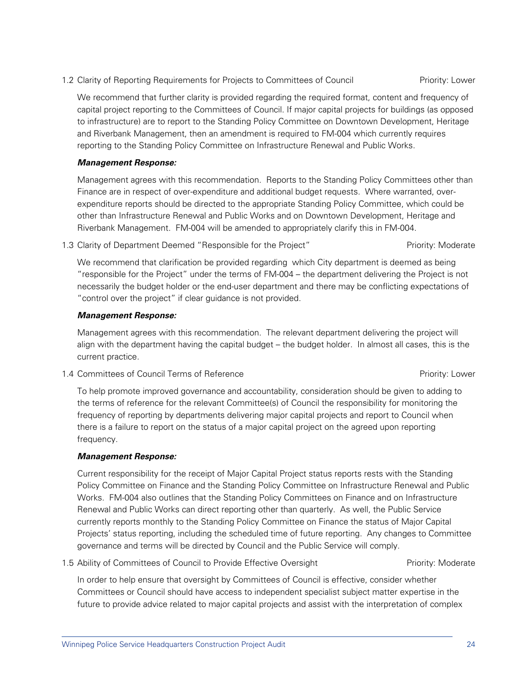#### 1.2 Clarity of Reporting Requirements for Projects to Committees of Council Priority: Lower

We recommend that further clarity is provided regarding the required format, content and frequency of capital project reporting to the Committees of Council. If major capital projects for buildings (as opposed to infrastructure) are to report to the Standing Policy Committee on Downtown Development, Heritage and Riverbank Management, then an amendment is required to FM-004 which currently requires reporting to the Standing Policy Committee on Infrastructure Renewal and Public Works.

### *Management Response:*

Management agrees with this recommendation. Reports to the Standing Policy Committees other than Finance are in respect of over-expenditure and additional budget requests. Where warranted, overexpenditure reports should be directed to the appropriate Standing Policy Committee, which could be other than Infrastructure Renewal and Public Works and on Downtown Development, Heritage and Riverbank Management. FM-004 will be amended to appropriately clarify this in FM-004.

1.3 Clarity of Department Deemed "Responsible for the Project" Priority: Moderate

We recommend that clarification be provided regarding which City department is deemed as being "responsible for the Project" under the terms of FM-004 – the department delivering the Project is not necessarily the budget holder or the end-user department and there may be conflicting expectations of "control over the project" if clear guidance is not provided.

### *Management Response:*

Management agrees with this recommendation. The relevant department delivering the project will align with the department having the capital budget – the budget holder. In almost all cases, this is the current practice.

1.4 Committees of Council Terms of Reference **Priority: Lower** Priority: Lower

To help promote improved governance and accountability, consideration should be given to adding to the terms of reference for the relevant Committee(s) of Council the responsibility for monitoring the frequency of reporting by departments delivering major capital projects and report to Council when there is a failure to report on the status of a major capital project on the agreed upon reporting frequency.

### *Management Response:*

Current responsibility for the receipt of Major Capital Project status reports rests with the Standing Policy Committee on Finance and the Standing Policy Committee on Infrastructure Renewal and Public Works. FM-004 also outlines that the Standing Policy Committees on Finance and on Infrastructure Renewal and Public Works can direct reporting other than quarterly. As well, the Public Service currently reports monthly to the Standing Policy Committee on Finance the status of Major Capital Projects' status reporting, including the scheduled time of future reporting. Any changes to Committee governance and terms will be directed by Council and the Public Service will comply.

1.5 Ability of Committees of Council to Provide Effective Oversight Priority: Moderate

In order to help ensure that oversight by Committees of Council is effective, consider whether Committees or Council should have access to independent specialist subject matter expertise in the future to provide advice related to major capital projects and assist with the interpretation of complex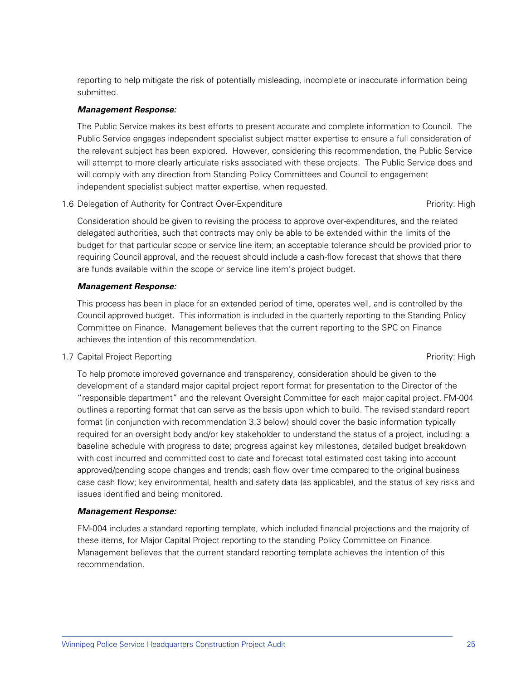reporting to help mitigate the risk of potentially misleading, incomplete or inaccurate information being submitted.

#### *Management Response:*

The Public Service makes its best efforts to present accurate and complete information to Council. The Public Service engages independent specialist subject matter expertise to ensure a full consideration of the relevant subject has been explored. However, considering this recommendation, the Public Service will attempt to more clearly articulate risks associated with these projects. The Public Service does and will comply with any direction from Standing Policy Committees and Council to engagement independent specialist subject matter expertise, when requested.

1.6 Delegation of Authority for Contract Over-Expenditure **Priority: High Priority: High** 

Consideration should be given to revising the process to approve over-expenditures, and the related delegated authorities, such that contracts may only be able to be extended within the limits of the budget for that particular scope or service line item; an acceptable tolerance should be provided prior to requiring Council approval, and the request should include a cash-flow forecast that shows that there are funds available within the scope or service line item's project budget.

#### *Management Response:*

This process has been in place for an extended period of time, operates well, and is controlled by the Council approved budget. This information is included in the quarterly reporting to the Standing Policy Committee on Finance. Management believes that the current reporting to the SPC on Finance achieves the intention of this recommendation.

#### 1.7 Capital Project Reporting **Priority: High** Priority: High

To help promote improved governance and transparency, consideration should be given to the development of a standard major capital project report format for presentation to the Director of the "responsible department" and the relevant Oversight Committee for each major capital project. FM-004 outlines a reporting format that can serve as the basis upon which to build. The revised standard report format (in conjunction with recommendation 3.3 below) should cover the basic information typically required for an oversight body and/or key stakeholder to understand the status of a project, including: a baseline schedule with progress to date; progress against key milestones; detailed budget breakdown with cost incurred and committed cost to date and forecast total estimated cost taking into account approved/pending scope changes and trends; cash flow over time compared to the original business case cash flow; key environmental, health and safety data (as applicable), and the status of key risks and issues identified and being monitored.

#### *Management Response:*

FM-004 includes a standard reporting template, which included financial projections and the majority of these items, for Major Capital Project reporting to the standing Policy Committee on Finance. Management believes that the current standard reporting template achieves the intention of this recommendation.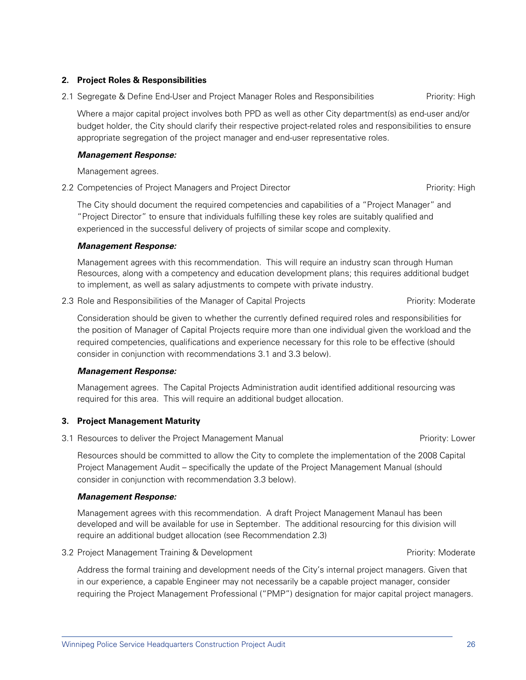#### **2. Project Roles & Responsibilities**

2.1 Segregate & Define End-User and Project Manager Roles and Responsibilities Priority: High

Where a major capital project involves both PPD as well as other City department(s) as end-user and/or budget holder, the City should clarify their respective project-related roles and responsibilities to ensure appropriate segregation of the project manager and end-user representative roles.

#### *Management Response:*

Management agrees.

2.2 Competencies of Project Managers and Project Director **Priority: High** Priority: High

The City should document the required competencies and capabilities of a "Project Manager" and "Project Director" to ensure that individuals fulfilling these key roles are suitably qualified and experienced in the successful delivery of projects of similar scope and complexity.

#### *Management Response:*

Management agrees with this recommendation. This will require an industry scan through Human Resources, along with a competency and education development plans; this requires additional budget to implement, as well as salary adjustments to compete with private industry.

2.3 Role and Responsibilities of the Manager of Capital Projects Priority: Moderate

Consideration should be given to whether the currently defined required roles and responsibilities for the position of Manager of Capital Projects require more than one individual given the workload and the required competencies, qualifications and experience necessary for this role to be effective (should consider in conjunction with recommendations 3.1 and 3.3 below).

#### *Management Response:*

Management agrees. The Capital Projects Administration audit identified additional resourcing was required for this area. This will require an additional budget allocation.

#### **3. Project Management Maturity**

3.1 Resources to deliver the Project Management Manual **Priority: Lower** Priority: Lower

Resources should be committed to allow the City to complete the implementation of the 2008 Capital Project Management Audit – specifically the update of the Project Management Manual (should consider in conjunction with recommendation 3.3 below).

#### *Management Response:*

Management agrees with this recommendation. A draft Project Management Manaul has been developed and will be available for use in September. The additional resourcing for this division will require an additional budget allocation (see Recommendation 2.3)

3.2 Project Management Training & Development **Priority: Priority: Moderate** Priority: Moderate

Address the formal training and development needs of the City's internal project managers. Given that in our experience, a capable Engineer may not necessarily be a capable project manager, consider requiring the Project Management Professional ("PMP") designation for major capital project managers.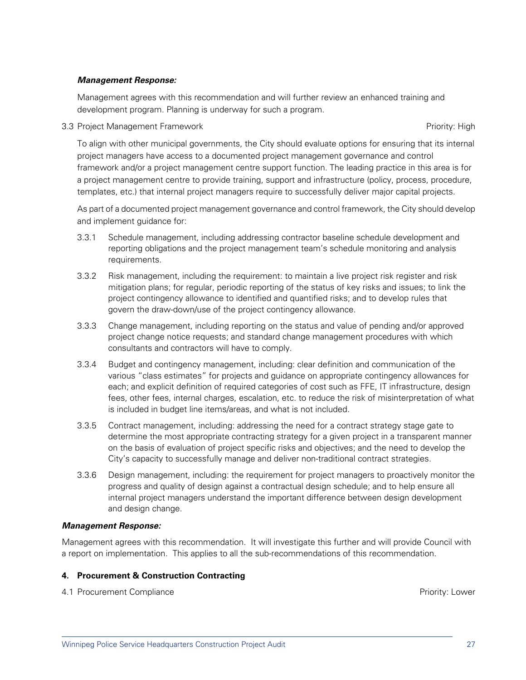#### *Management Response:*

Management agrees with this recommendation and will further review an enhanced training and development program. Planning is underway for such a program.

3.3 Project Management Framework **Priority: High** Priority: High

To align with other municipal governments, the City should evaluate options for ensuring that its internal project managers have access to a documented project management governance and control framework and/or a project management centre support function. The leading practice in this area is for a project management centre to provide training, support and infrastructure (policy, process, procedure, templates, etc.) that internal project managers require to successfully deliver major capital projects.

As part of a documented project management governance and control framework, the City should develop and implement guidance for:

- 3.3.1 Schedule management, including addressing contractor baseline schedule development and reporting obligations and the project management team's schedule monitoring and analysis requirements.
- 3.3.2 Risk management, including the requirement: to maintain a live project risk register and risk mitigation plans; for regular, periodic reporting of the status of key risks and issues; to link the project contingency allowance to identified and quantified risks; and to develop rules that govern the draw-down/use of the project contingency allowance.
- 3.3.3 Change management, including reporting on the status and value of pending and/or approved project change notice requests; and standard change management procedures with which consultants and contractors will have to comply.
- 3.3.4 Budget and contingency management, including: clear definition and communication of the various "class estimates" for projects and guidance on appropriate contingency allowances for each; and explicit definition of required categories of cost such as FFE, IT infrastructure, design fees, other fees, internal charges, escalation, etc. to reduce the risk of misinterpretation of what is included in budget line items/areas, and what is not included.
- 3.3.5 Contract management, including: addressing the need for a contract strategy stage gate to determine the most appropriate contracting strategy for a given project in a transparent manner on the basis of evaluation of project specific risks and objectives; and the need to develop the City's capacity to successfully manage and deliver non-traditional contract strategies.
- 3.3.6 Design management, including: the requirement for project managers to proactively monitor the progress and quality of design against a contractual design schedule; and to help ensure all internal project managers understand the important difference between design development and design change.

#### *Management Response:*

Management agrees with this recommendation. It will investigate this further and will provide Council with a report on implementation. This applies to all the sub-recommendations of this recommendation.

### **4. Procurement & Construction Contracting**

A.1 Procurement Compliance **Priority: Lower** Priority: Lower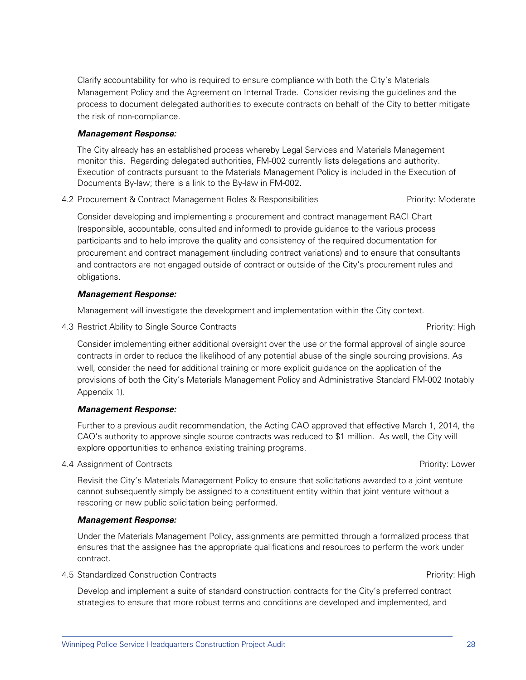Clarify accountability for who is required to ensure compliance with both the City's Materials Management Policy and the Agreement on Internal Trade. Consider revising the guidelines and the process to document delegated authorities to execute contracts on behalf of the City to better mitigate the risk of non-compliance.

#### *Management Response:*

The City already has an established process whereby Legal Services and Materials Management monitor this. Regarding delegated authorities, FM-002 currently lists delegations and authority. Execution of contracts pursuant to the Materials Management Policy is included in the Execution of Documents By-law; there is a link to the By-law in FM-002.

4.2 Procurement & Contract Management Roles & Responsibilities Priority: Moderate

Consider developing and implementing a procurement and contract management RACI Chart (responsible, accountable, consulted and informed) to provide guidance to the various process participants and to help improve the quality and consistency of the required documentation for procurement and contract management (including contract variations) and to ensure that consultants and contractors are not engaged outside of contract or outside of the City's procurement rules and obligations.

#### *Management Response:*

Management will investigate the development and implementation within the City context.

4.3 Restrict Ability to Single Source Contracts Priority: High

Consider implementing either additional oversight over the use or the formal approval of single source contracts in order to reduce the likelihood of any potential abuse of the single sourcing provisions. As well, consider the need for additional training or more explicit guidance on the application of the provisions of both the City's Materials Management Policy and Administrative Standard FM-002 (notably Appendix 1).

#### *Management Response:*

Further to a previous audit recommendation, the Acting CAO approved that effective March 1, 2014, the CAO's authority to approve single source contracts was reduced to \$1 million. As well, the City will explore opportunities to enhance existing training programs.

4.4 Assignment of Contracts Priority: Lower

Revisit the City's Materials Management Policy to ensure that solicitations awarded to a joint venture cannot subsequently simply be assigned to a constituent entity within that joint venture without a rescoring or new public solicitation being performed.

#### *Management Response:*

Under the Materials Management Policy, assignments are permitted through a formalized process that ensures that the assignee has the appropriate qualifications and resources to perform the work under contract.

4.5 Standardized Construction Contracts Priority: High

Develop and implement a suite of standard construction contracts for the City's preferred contract strategies to ensure that more robust terms and conditions are developed and implemented, and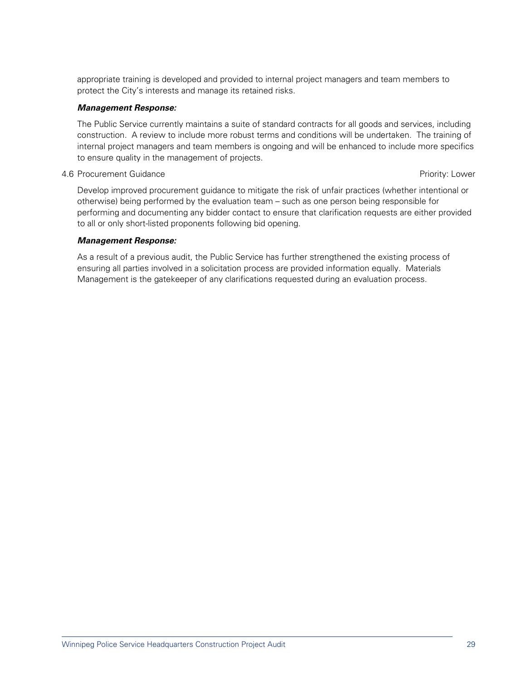appropriate training is developed and provided to internal project managers and team members to protect the City's interests and manage its retained risks.

#### *Management Response:*

The Public Service currently maintains a suite of standard contracts for all goods and services, including construction. A review to include more robust terms and conditions will be undertaken. The training of internal project managers and team members is ongoing and will be enhanced to include more specifics to ensure quality in the management of projects.

#### A.6 Procurement Guidance **Priority: Lower** Priority: Lower

Develop improved procurement guidance to mitigate the risk of unfair practices (whether intentional or otherwise) being performed by the evaluation team – such as one person being responsible for performing and documenting any bidder contact to ensure that clarification requests are either provided to all or only short-listed proponents following bid opening.

#### *Management Response:*

As a result of a previous audit, the Public Service has further strengthened the existing process of ensuring all parties involved in a solicitation process are provided information equally. Materials Management is the gatekeeper of any clarifications requested during an evaluation process.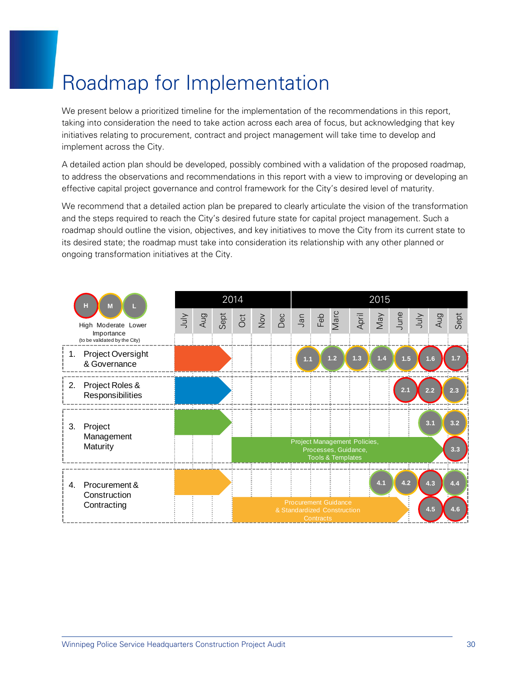# <span id="page-32-0"></span>Roadmap for Implementation

We present below a prioritized timeline for the implementation of the recommendations in this report, taking into consideration the need to take action across each area of focus, but acknowledging that key initiatives relating to procurement, contract and project management will take time to develop and implement across the City.

A detailed action plan should be developed, possibly combined with a validation of the proposed roadmap, to address the observations and recommendations in this report with a view to improving or developing an effective capital project governance and control framework for the City's desired level of maturity.

We recommend that a detailed action plan be prepared to clearly articulate the vision of the transformation and the steps required to reach the City's desired future state for capital project management. Such a roadmap should outline the vision, objectives, and key initiatives to move the City from its current state to its desired state; the roadmap must take into consideration its relationship with any other planned or ongoing transformation initiatives at the City.

| M<br>н                                                             |      | 2014 |      |     |                  | 2015 |     |             |                                                                                      |       |     |      |            |      |
|--------------------------------------------------------------------|------|------|------|-----|------------------|------|-----|-------------|--------------------------------------------------------------------------------------|-------|-----|------|------------|------|
| High Moderate Lower<br>Importance<br>(to be validated by the City) | July | Aug  | Sept | Oct | $\sum_{i=1}^{n}$ | Dec  | Jan | Feb<br>Marc |                                                                                      | April | Vay | June | gus<br>Aug | Sept |
| Project Oversight<br>1.<br>& Governance                            |      |      |      |     |                  |      | 1.1 |             | $1.2$                                                                                | 1.3   | 1.4 | 1.5  | 1.6        | 1.7  |
| Project Roles &<br>2.<br>Responsibilities                          |      |      |      |     |                  |      |     |             |                                                                                      |       |     | 2.1  | 2.2        | 2.3  |
| 3.<br>Project<br>Management                                        |      |      |      |     |                  |      |     |             |                                                                                      |       |     |      | 3.1        | 3.2  |
| Maturity                                                           |      |      |      |     |                  |      |     |             | Project Management Policies,<br>Processes, Guidance,<br><b>Tools &amp; Templates</b> |       |     |      |            | 3.3  |
| Procurement &<br>4.<br>Construction                                |      |      |      |     |                  |      |     |             |                                                                                      |       | 4.1 | 4.2  | 4.3        | 4.4  |
| Contracting                                                        |      |      |      |     |                  |      |     | Contracts   | <b>Procurement Guidance</b><br>& Standardized Construction                           |       |     |      | 4.5        | 4.6  |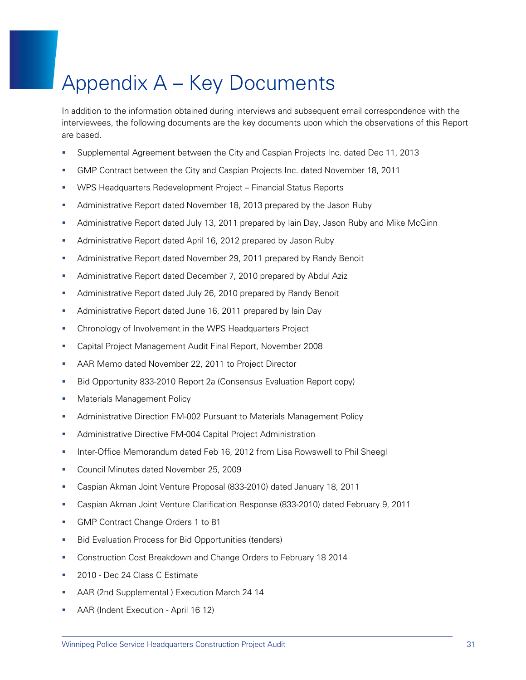# <span id="page-33-0"></span>Appendix A – Key Documents

In addition to the information obtained during interviews and subsequent email correspondence with the interviewees, the following documents are the key documents upon which the observations of this Report are based.

- Supplemental Agreement between the City and Caspian Projects Inc. dated Dec 11, 2013
- GMP Contract between the City and Caspian Projects Inc. dated November 18, 2011
- WPS Headquarters Redevelopment Project Financial Status Reports
- Administrative Report dated November 18, 2013 prepared by the Jason Ruby
- Administrative Report dated July 13, 2011 prepared by Iain Day, Jason Ruby and Mike McGinn
- Administrative Report dated April 16, 2012 prepared by Jason Ruby
- Administrative Report dated November 29, 2011 prepared by Randy Benoit
- **Administrative Report dated December 7, 2010 prepared by Abdul Aziz**
- **Administrative Report dated July 26, 2010 prepared by Randy Benoit**
- **Administrative Report dated June 16, 2011 prepared by lain Day**
- **EXECO** Chronology of Involvement in the WPS Headquarters Project
- Capital Project Management Audit Final Report, November 2008
- AAR Memo dated November 22, 2011 to Project Director
- **Bid Opportunity 833-2010 Report 2a (Consensus Evaluation Report copy)**
- **Materials Management Policy**
- **Administrative Direction FM-002 Pursuant to Materials Management Policy**
- **-** Administrative Directive FM-004 Capital Project Administration
- **Inter-Office Memorandum dated Feb 16, 2012 from Lisa Rowswell to Phil Sheegl**
- Council Minutes dated November 25, 2009
- Caspian Akman Joint Venture Proposal (833-2010) dated January 18, 2011
- Caspian Akman Joint Venture Clarification Response (833-2010) dated February 9, 2011
- **GMP Contract Change Orders 1 to 81**
- Bid Evaluation Process for Bid Opportunities (tenders)
- **Construction Cost Breakdown and Change Orders to February 18 2014**
- 2010 Dec 24 Class C Estimate
- AAR (2nd Supplemental ) Execution March 24 14
- AAR (Indent Execution April 16 12)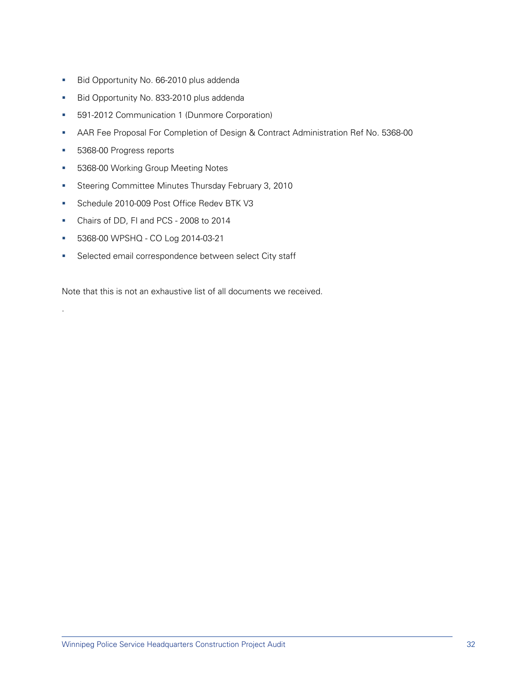- Bid Opportunity No. 66-2010 plus addenda
- Bid Opportunity No. 833-2010 plus addenda
- **591-2012 Communication 1 (Dunmore Corporation)**
- AAR Fee Proposal For Completion of Design & Contract Administration Ref No. 5368-00
- **5368-00 Progress reports**

.

- **5368-00 Working Group Meeting Notes**
- **Steering Committee Minutes Thursday February 3, 2010**
- **Schedule 2010-009 Post Office Redev BTK V3**
- Chairs of DD, FI and PCS 2008 to 2014
- 5368-00 WPSHQ CO Log 2014-03-21
- **Selected email correspondence between select City staff**

Note that this is not an exhaustive list of all documents we received.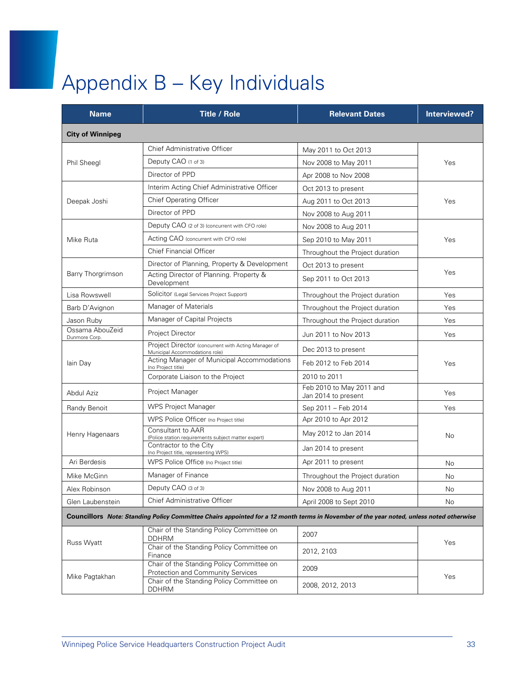# <span id="page-35-0"></span>Appendix B – Key Individuals

| <b>Name</b>                      | <b>Title / Role</b>                                                                                                                     | <b>Relevant Dates</b>                           | Interviewed? |  |  |
|----------------------------------|-----------------------------------------------------------------------------------------------------------------------------------------|-------------------------------------------------|--------------|--|--|
| <b>City of Winnipeg</b>          |                                                                                                                                         |                                                 |              |  |  |
|                                  | <b>Chief Administrative Officer</b>                                                                                                     | May 2011 to Oct 2013                            |              |  |  |
| Phil Sheegl                      | Deputy CAO (1 of 3)                                                                                                                     | Nov 2008 to May 2011                            | Yes          |  |  |
|                                  | Director of PPD                                                                                                                         | Apr 2008 to Nov 2008                            |              |  |  |
|                                  | Interim Acting Chief Administrative Officer                                                                                             | Oct 2013 to present                             | Yes          |  |  |
| Deepak Joshi                     | <b>Chief Operating Officer</b>                                                                                                          | Aug 2011 to Oct 2013                            |              |  |  |
|                                  | Director of PPD                                                                                                                         | Nov 2008 to Aug 2011                            |              |  |  |
|                                  | Deputy CAO (2 of 3) (concurrent with CFO role)                                                                                          | Nov 2008 to Aug 2011                            |              |  |  |
| Mike Ruta                        | Acting CAO (concurrent with CFO role)                                                                                                   | Sep 2010 to May 2011                            | Yes          |  |  |
|                                  | <b>Chief Financial Officer</b>                                                                                                          | Throughout the Project duration                 |              |  |  |
|                                  | Director of Planning, Property & Development                                                                                            | Oct 2013 to present                             |              |  |  |
| Barry Thorgrimson                | Acting Director of Planning. Property &<br>Development                                                                                  | Sep 2011 to Oct 2013                            | Yes          |  |  |
| Lisa Rowswell                    | Solicitor (Legal Services Project Support)                                                                                              | Throughout the Project duration                 | Yes          |  |  |
| Barb D'Avignon                   | Manager of Materials                                                                                                                    | Throughout the Project duration                 | Yes          |  |  |
| Jason Ruby                       | Manager of Capital Projects                                                                                                             | Throughout the Project duration                 | Yes          |  |  |
| Ossama AbouZeid<br>Dunmore Corp. | Project Director                                                                                                                        | Jun 2011 to Nov 2013                            | Yes          |  |  |
|                                  | Project Director (concurrent with Acting Manager of<br>Municipal Accommodations role)                                                   | Dec 2013 to present                             | Yes          |  |  |
| lain Day                         | Acting Manager of Municipal Accommodations<br>(no Project title)                                                                        | Feb 2012 to Feb 2014                            |              |  |  |
|                                  | Corporate Liaison to the Project                                                                                                        | 2010 to 2011                                    |              |  |  |
| Abdul Aziz                       | Project Manager                                                                                                                         | Feb 2010 to May 2011 and<br>Jan 2014 to present | Yes          |  |  |
| Randy Benoit                     | <b>WPS Project Manager</b>                                                                                                              | Sep 2011 - Feb 2014                             | Yes          |  |  |
|                                  | WPS Police Officer (no Project title)                                                                                                   | Apr 2010 to Apr 2012                            |              |  |  |
| Henry Hagenaars                  | Consultant to AAR<br>(Police station requirements subject matter expert)                                                                | May 2012 to Jan 2014                            | No           |  |  |
|                                  | Contractor to the City<br>(no Project title, representing WPS)                                                                          | Jan 2014 to present                             |              |  |  |
| Ari Berdesis                     | WPS Police Office (no Project title)                                                                                                    | Apr 2011 to present                             | No           |  |  |
| Mike McGinn                      | Manager of Finance                                                                                                                      | Throughout the Project duration                 | No           |  |  |
| Alex Robinson                    | Deputy CAO (3 of 3)                                                                                                                     | Nov 2008 to Aug 2011                            | No           |  |  |
| Glen Laubenstein                 | Chief Administrative Officer                                                                                                            | April 2008 to Sept 2010                         | No           |  |  |
|                                  | Councillors Note: Standing Policy Committee Chairs appointed for a 12 month terms in November of the year noted, unless noted otherwise |                                                 |              |  |  |
|                                  | Chair of the Standing Policy Committee on<br><b>DDHRM</b>                                                                               | 2007                                            |              |  |  |
| Russ Wyatt                       | Chair of the Standing Policy Committee on<br>Finance                                                                                    | 2012, 2103                                      | Yes          |  |  |
| Mike Pagtakhan                   | Chair of the Standing Policy Committee on<br>Protection and Community Services                                                          | 2009                                            | Yes          |  |  |
|                                  | Chair of the Standing Policy Committee on<br><b>DDHRM</b>                                                                               | 2008, 2012, 2013                                |              |  |  |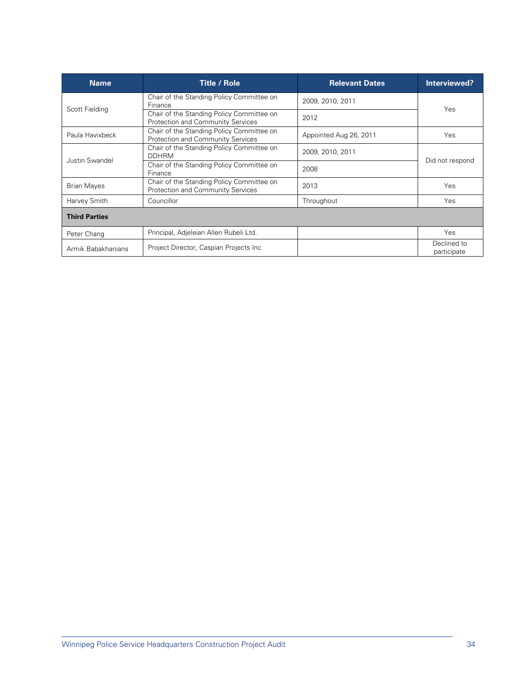| <b>Name</b>          | <b>Title / Role</b>                                                            | <b>Relevant Dates</b>  | Interviewed?               |  |
|----------------------|--------------------------------------------------------------------------------|------------------------|----------------------------|--|
|                      | Chair of the Standing Policy Committee on<br>Finance                           | 2009, 2010, 2011       |                            |  |
| Scott Fielding       | Chair of the Standing Policy Committee on<br>Protection and Community Services | 2012                   | Yes                        |  |
| Paula Havixbeck      | Chair of the Standing Policy Committee on<br>Protection and Community Services | Appointed Aug 26, 2011 | Yes                        |  |
| Justin Swandel       | Chair of the Standing Policy Committee on<br><b>DDHRM</b>                      | 2009, 2010, 2011       |                            |  |
|                      | Chair of the Standing Policy Committee on<br>Finance                           | 2008                   | Did not respond            |  |
| <b>Brian Mayes</b>   | Chair of the Standing Policy Committee on<br>Protection and Community Services | 2013                   | Yes.                       |  |
| Harvey Smith         | Councillor                                                                     | Throughout             | Yes                        |  |
| <b>Third Parties</b> |                                                                                |                        |                            |  |
| Peter Chang          | Principal, Adjeleian Allen Rubeli Ltd.                                         |                        | Yes                        |  |
| Armik Babakhanians   | Project Director, Caspian Projects Inc.                                        |                        | Declined to<br>participate |  |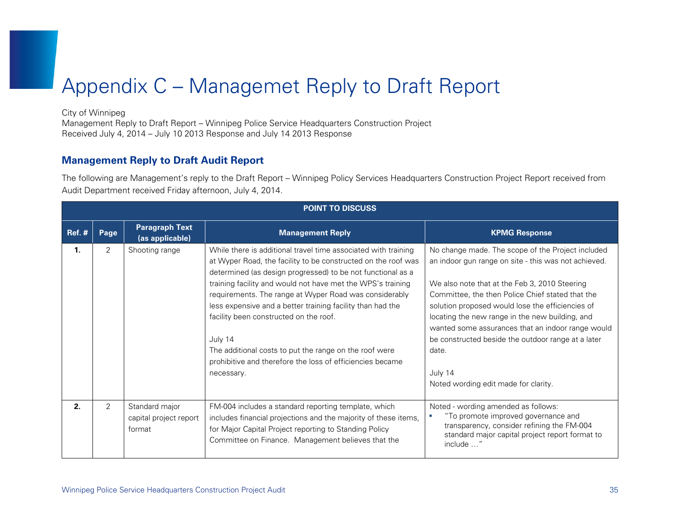# Appendix C – Managemet Reply to Draft Report

City of Winnipeg

Management Reply to Draft Report – Winnipeg Police Service Headquarters Construction Project Received July 4, 2014 – July 10 2013 Response and July 14 2013 Response

### **Management Reply to Draft Audit Report**

The following are Management's reply to the Draft Report – Winnipeg Policy Services Headquarters Construction Project Report received from Audit Department received Friday afternoon, July 4, 2014.

<span id="page-37-0"></span>

|       | <b>POINT TO DISCUSS</b> |                                                    |                                                                                                                                                                                                                                                                                                                                                                                                                                                                                                                                                                                 |                                                                                                                                                                                                                                                                                                                                                                                                                                                                                              |  |  |  |
|-------|-------------------------|----------------------------------------------------|---------------------------------------------------------------------------------------------------------------------------------------------------------------------------------------------------------------------------------------------------------------------------------------------------------------------------------------------------------------------------------------------------------------------------------------------------------------------------------------------------------------------------------------------------------------------------------|----------------------------------------------------------------------------------------------------------------------------------------------------------------------------------------------------------------------------------------------------------------------------------------------------------------------------------------------------------------------------------------------------------------------------------------------------------------------------------------------|--|--|--|
| Ref.# | Page                    | <b>Paragraph Text</b><br>(as applicable)           | <b>Management Reply</b>                                                                                                                                                                                                                                                                                                                                                                                                                                                                                                                                                         | <b>KPMG Response</b>                                                                                                                                                                                                                                                                                                                                                                                                                                                                         |  |  |  |
| 1.    | $\overline{2}$          | Shooting range                                     | While there is additional travel time associated with training<br>at Wyper Road, the facility to be constructed on the roof was<br>determined (as design progressed) to be not functional as a<br>training facility and would not have met the WPS's training<br>requirements. The range at Wyper Road was considerably<br>less expensive and a better training facility than had the<br>facility been constructed on the roof.<br>July 14<br>The additional costs to put the range on the roof were<br>prohibitive and therefore the loss of efficiencies became<br>necessary. | No change made. The scope of the Project included<br>an indoor gun range on site - this was not achieved.<br>We also note that at the Feb 3, 2010 Steering<br>Committee, the then Police Chief stated that the<br>solution proposed would lose the efficiencies of<br>locating the new range in the new building, and<br>wanted some assurances that an indoor range would<br>be constructed beside the outdoor range at a later<br>date.<br>July 14<br>Noted wording edit made for clarity. |  |  |  |
| 2.    | $\overline{2}$          | Standard major<br>capital project report<br>format | FM-004 includes a standard reporting template, which<br>includes financial projections and the majority of these items,<br>for Major Capital Project reporting to Standing Policy<br>Committee on Finance. Management believes that the                                                                                                                                                                                                                                                                                                                                         | Noted - wording amended as follows:<br>"To promote improved governance and<br>transparency, consider refining the FM-004<br>standard major capital project report format to<br>include "                                                                                                                                                                                                                                                                                                     |  |  |  |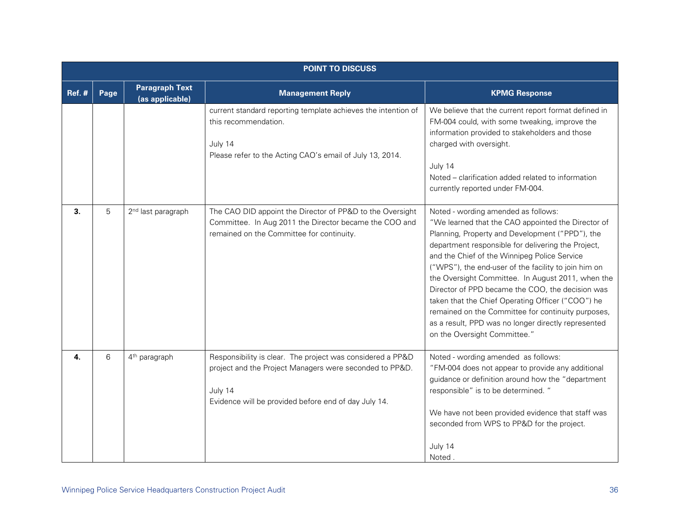|               | <b>POINT TO DISCUSS</b> |                                          |                                                                                                                                                                                          |                                                                                                                                                                                                                                                                                                                                                                                                                                                                                                                                                                                                                       |  |  |  |
|---------------|-------------------------|------------------------------------------|------------------------------------------------------------------------------------------------------------------------------------------------------------------------------------------|-----------------------------------------------------------------------------------------------------------------------------------------------------------------------------------------------------------------------------------------------------------------------------------------------------------------------------------------------------------------------------------------------------------------------------------------------------------------------------------------------------------------------------------------------------------------------------------------------------------------------|--|--|--|
| <b>Ref. #</b> | Page                    | <b>Paragraph Text</b><br>(as applicable) | <b>Management Reply</b>                                                                                                                                                                  | <b>KPMG Response</b>                                                                                                                                                                                                                                                                                                                                                                                                                                                                                                                                                                                                  |  |  |  |
|               |                         |                                          | current standard reporting template achieves the intention of<br>this recommendation.<br>July 14<br>Please refer to the Acting CAO's email of July 13, 2014.                             | We believe that the current report format defined in<br>FM-004 could, with some tweaking, improve the<br>information provided to stakeholders and those<br>charged with oversight.<br>July 14<br>Noted - clarification added related to information<br>currently reported under FM-004.                                                                                                                                                                                                                                                                                                                               |  |  |  |
| 3.            | 5                       | 2 <sup>nd</sup> last paragraph           | The CAO DID appoint the Director of PP&D to the Oversight<br>Committee. In Aug 2011 the Director became the COO and<br>remained on the Committee for continuity.                         | Noted - wording amended as follows:<br>"We learned that the CAO appointed the Director of<br>Planning, Property and Development ("PPD"), the<br>department responsible for delivering the Project,<br>and the Chief of the Winnipeg Police Service<br>("WPS"), the end-user of the facility to join him on<br>the Oversight Committee. In August 2011, when the<br>Director of PPD became the COO, the decision was<br>taken that the Chief Operating Officer ("COO") he<br>remained on the Committee for continuity purposes,<br>as a result, PPD was no longer directly represented<br>on the Oversight Committee." |  |  |  |
| 4.            | 6                       | 4 <sup>th</sup> paragraph                | Responsibility is clear. The project was considered a PP&D<br>project and the Project Managers were seconded to PP&D.<br>July 14<br>Evidence will be provided before end of day July 14. | Noted - wording amended as follows:<br>"FM-004 does not appear to provide any additional<br>guidance or definition around how the "department<br>responsible" is to be determined. "<br>We have not been provided evidence that staff was<br>seconded from WPS to PP&D for the project.<br>July 14<br>Noted                                                                                                                                                                                                                                                                                                           |  |  |  |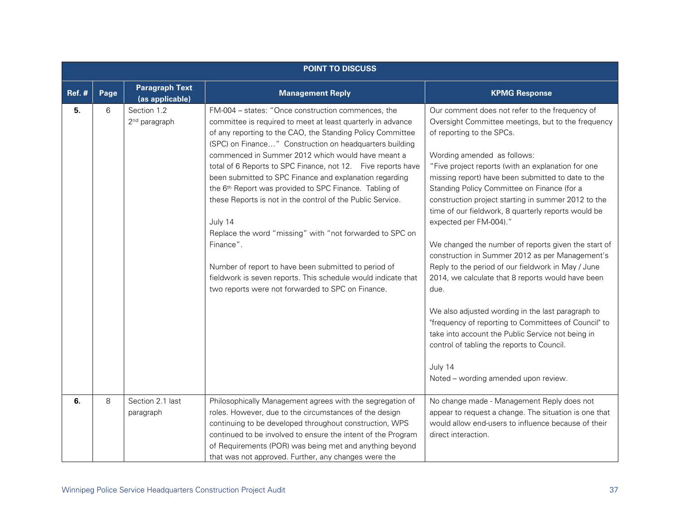|               | <b>POINT TO DISCUSS</b> |                                          |                                                                                                                                                                                                                                                                                                                                                                                                                                                                                                                                                                                                                                                                                                                                                                                                                                  |                                                                                                                                                                                                                                                                                                                                                                                                                                                                                                                                                                                                                                                                                                                                                                                                                                                                                                                                                                     |  |  |  |
|---------------|-------------------------|------------------------------------------|----------------------------------------------------------------------------------------------------------------------------------------------------------------------------------------------------------------------------------------------------------------------------------------------------------------------------------------------------------------------------------------------------------------------------------------------------------------------------------------------------------------------------------------------------------------------------------------------------------------------------------------------------------------------------------------------------------------------------------------------------------------------------------------------------------------------------------|---------------------------------------------------------------------------------------------------------------------------------------------------------------------------------------------------------------------------------------------------------------------------------------------------------------------------------------------------------------------------------------------------------------------------------------------------------------------------------------------------------------------------------------------------------------------------------------------------------------------------------------------------------------------------------------------------------------------------------------------------------------------------------------------------------------------------------------------------------------------------------------------------------------------------------------------------------------------|--|--|--|
| <b>Ref. #</b> | Page                    | <b>Paragraph Text</b><br>(as applicable) | <b>Management Reply</b>                                                                                                                                                                                                                                                                                                                                                                                                                                                                                                                                                                                                                                                                                                                                                                                                          | <b>KPMG Response</b>                                                                                                                                                                                                                                                                                                                                                                                                                                                                                                                                                                                                                                                                                                                                                                                                                                                                                                                                                |  |  |  |
| 5.            | 6                       | Section 1.2<br>2 <sup>nd</sup> paragraph | FM-004 - states: "Once construction commences, the<br>committee is required to meet at least quarterly in advance<br>of any reporting to the CAO, the Standing Policy Committee<br>(SPC) on Finance" Construction on headquarters building<br>commenced in Summer 2012 which would have meant a<br>total of 6 Reports to SPC Finance, not 12. Five reports have<br>been submitted to SPC Finance and explanation regarding<br>the 6 <sup>th</sup> Report was provided to SPC Finance. Tabling of<br>these Reports is not in the control of the Public Service.<br>July 14<br>Replace the word "missing" with "not forwarded to SPC on<br>Finance".<br>Number of report to have been submitted to period of<br>fieldwork is seven reports. This schedule would indicate that<br>two reports were not forwarded to SPC on Finance. | Our comment does not refer to the frequency of<br>Oversight Committee meetings, but to the frequency<br>of reporting to the SPCs.<br>Wording amended as follows:<br>"Five project reports (with an explanation for one<br>missing report) have been submitted to date to the<br>Standing Policy Committee on Finance (for a<br>construction project starting in summer 2012 to the<br>time of our fieldwork, 8 quarterly reports would be<br>expected per FM-004)."<br>We changed the number of reports given the start of<br>construction in Summer 2012 as per Management's<br>Reply to the period of our fieldwork in May / June<br>2014, we calculate that 8 reports would have been<br>due.<br>We also adjusted wording in the last paragraph to<br>"frequency of reporting to Committees of Council" to<br>take into account the Public Service not being in<br>control of tabling the reports to Council.<br>July 14<br>Noted - wording amended upon review. |  |  |  |
| 6.            | 8                       | Section 2.1 last<br>paragraph            | Philosophically Management agrees with the segregation of<br>roles. However, due to the circumstances of the design<br>continuing to be developed throughout construction, WPS<br>continued to be involved to ensure the intent of the Program<br>of Requirements (POR) was being met and anything beyond<br>that was not approved. Further, any changes were the                                                                                                                                                                                                                                                                                                                                                                                                                                                                | No change made - Management Reply does not<br>appear to request a change. The situation is one that<br>would allow end-users to influence because of their<br>direct interaction.                                                                                                                                                                                                                                                                                                                                                                                                                                                                                                                                                                                                                                                                                                                                                                                   |  |  |  |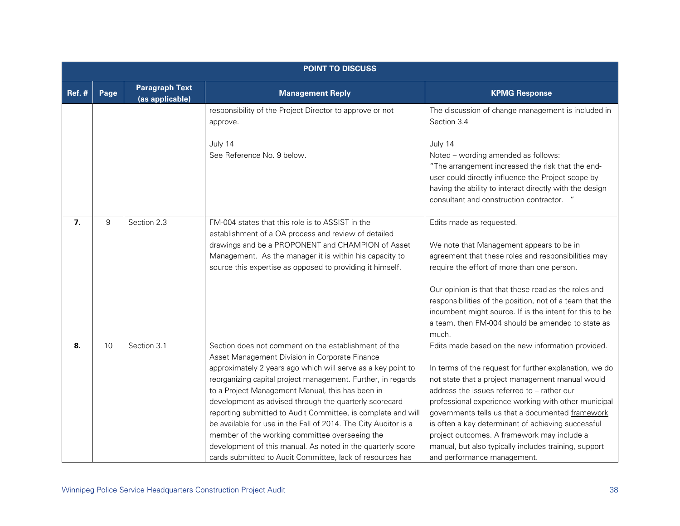|       | <b>POINT TO DISCUSS</b> |                                          |                                                                                                                                                                                                                                                                                                                                                                                                                                                                                                                                                                                                                                                                       |                                                                                                                                                                                                                                                                                                                                                                                                                                                                                                                         |  |  |  |
|-------|-------------------------|------------------------------------------|-----------------------------------------------------------------------------------------------------------------------------------------------------------------------------------------------------------------------------------------------------------------------------------------------------------------------------------------------------------------------------------------------------------------------------------------------------------------------------------------------------------------------------------------------------------------------------------------------------------------------------------------------------------------------|-------------------------------------------------------------------------------------------------------------------------------------------------------------------------------------------------------------------------------------------------------------------------------------------------------------------------------------------------------------------------------------------------------------------------------------------------------------------------------------------------------------------------|--|--|--|
| Ref.# | Page                    | <b>Paragraph Text</b><br>(as applicable) | <b>Management Reply</b>                                                                                                                                                                                                                                                                                                                                                                                                                                                                                                                                                                                                                                               | <b>KPMG Response</b>                                                                                                                                                                                                                                                                                                                                                                                                                                                                                                    |  |  |  |
|       |                         |                                          | responsibility of the Project Director to approve or not<br>approve.<br>July 14<br>See Reference No. 9 below.                                                                                                                                                                                                                                                                                                                                                                                                                                                                                                                                                         | The discussion of change management is included in<br>Section 3.4<br>July 14<br>Noted - wording amended as follows:<br>"The arrangement increased the risk that the end-<br>user could directly influence the Project scope by<br>having the ability to interact directly with the design<br>consultant and construction contractor.                                                                                                                                                                                    |  |  |  |
| 7.    | 9                       | Section 2.3                              | FM-004 states that this role is to ASSIST in the<br>establishment of a QA process and review of detailed<br>drawings and be a PROPONENT and CHAMPION of Asset<br>Management. As the manager it is within his capacity to<br>source this expertise as opposed to providing it himself.                                                                                                                                                                                                                                                                                                                                                                                 | Edits made as requested.<br>We note that Management appears to be in<br>agreement that these roles and responsibilities may<br>require the effort of more than one person.<br>Our opinion is that that these read as the roles and<br>responsibilities of the position, not of a team that the<br>incumbent might source. If is the intent for this to be<br>a team, then FM-004 should be amended to state as<br>much.                                                                                                 |  |  |  |
| 8.    | 10                      | Section 3.1                              | Section does not comment on the establishment of the<br>Asset Management Division in Corporate Finance<br>approximately 2 years ago which will serve as a key point to<br>reorganizing capital project management. Further, in regards<br>to a Project Management Manual, this has been in<br>development as advised through the quarterly scorecard<br>reporting submitted to Audit Committee, is complete and will<br>be available for use in the Fall of 2014. The City Auditor is a<br>member of the working committee overseeing the<br>development of this manual. As noted in the quarterly score<br>cards submitted to Audit Committee, lack of resources has | Edits made based on the new information provided.<br>In terms of the request for further explanation, we do<br>not state that a project management manual would<br>address the issues referred to - rather our<br>professional experience working with other municipal<br>governments tells us that a documented framework<br>is often a key determinant of achieving successful<br>project outcomes. A framework may include a<br>manual, but also typically includes training, support<br>and performance management. |  |  |  |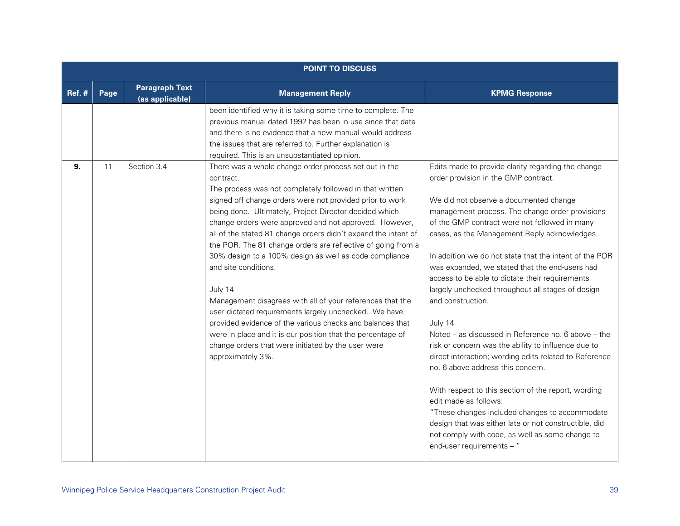|               | <b>POINT TO DISCUSS</b> |                                          |                                                                                                                                                                                                                                                                                                                                                                                                                                                                                                                                                                                                                                                                                                                                                                                                                                                                           |                                                                                                                                                                                                                                                                                                                                                                                                                                                                                                                                                                                                                                                                                                                                                                                                                                                                                                                                                                                                                                      |  |  |  |
|---------------|-------------------------|------------------------------------------|---------------------------------------------------------------------------------------------------------------------------------------------------------------------------------------------------------------------------------------------------------------------------------------------------------------------------------------------------------------------------------------------------------------------------------------------------------------------------------------------------------------------------------------------------------------------------------------------------------------------------------------------------------------------------------------------------------------------------------------------------------------------------------------------------------------------------------------------------------------------------|--------------------------------------------------------------------------------------------------------------------------------------------------------------------------------------------------------------------------------------------------------------------------------------------------------------------------------------------------------------------------------------------------------------------------------------------------------------------------------------------------------------------------------------------------------------------------------------------------------------------------------------------------------------------------------------------------------------------------------------------------------------------------------------------------------------------------------------------------------------------------------------------------------------------------------------------------------------------------------------------------------------------------------------|--|--|--|
| <b>Ref. #</b> | Page                    | <b>Paragraph Text</b><br>(as applicable) | <b>Management Reply</b>                                                                                                                                                                                                                                                                                                                                                                                                                                                                                                                                                                                                                                                                                                                                                                                                                                                   | <b>KPMG Response</b>                                                                                                                                                                                                                                                                                                                                                                                                                                                                                                                                                                                                                                                                                                                                                                                                                                                                                                                                                                                                                 |  |  |  |
|               |                         |                                          | been identified why it is taking some time to complete. The<br>previous manual dated 1992 has been in use since that date<br>and there is no evidence that a new manual would address<br>the issues that are referred to. Further explanation is<br>required. This is an unsubstantiated opinion.                                                                                                                                                                                                                                                                                                                                                                                                                                                                                                                                                                         |                                                                                                                                                                                                                                                                                                                                                                                                                                                                                                                                                                                                                                                                                                                                                                                                                                                                                                                                                                                                                                      |  |  |  |
| 9.            | 11                      | Section 3.4                              | There was a whole change order process set out in the<br>contract.<br>The process was not completely followed in that written<br>signed off change orders were not provided prior to work<br>being done. Ultimately, Project Director decided which<br>change orders were approved and not approved. However,<br>all of the stated 81 change orders didn't expand the intent of<br>the POR. The 81 change orders are reflective of going from a<br>30% design to a 100% design as well as code compliance<br>and site conditions.<br>July 14<br>Management disagrees with all of your references that the<br>user dictated requirements largely unchecked. We have<br>provided evidence of the various checks and balances that<br>were in place and it is our position that the percentage of<br>change orders that were initiated by the user were<br>approximately 3%. | Edits made to provide clarity regarding the change<br>order provision in the GMP contract.<br>We did not observe a documented change<br>management process. The change order provisions<br>of the GMP contract were not followed in many<br>cases, as the Management Reply acknowledges.<br>In addition we do not state that the intent of the POR<br>was expanded, we stated that the end-users had<br>access to be able to dictate their requirements<br>largely unchecked throughout all stages of design<br>and construction.<br>July 14<br>Noted – as discussed in Reference no. 6 above – the<br>risk or concern was the ability to influence due to<br>direct interaction; wording edits related to Reference<br>no. 6 above address this concern.<br>With respect to this section of the report, wording<br>edit made as follows:<br>"These changes included changes to accommodate<br>design that was either late or not constructible, did<br>not comply with code, as well as some change to<br>end-user requirements - " |  |  |  |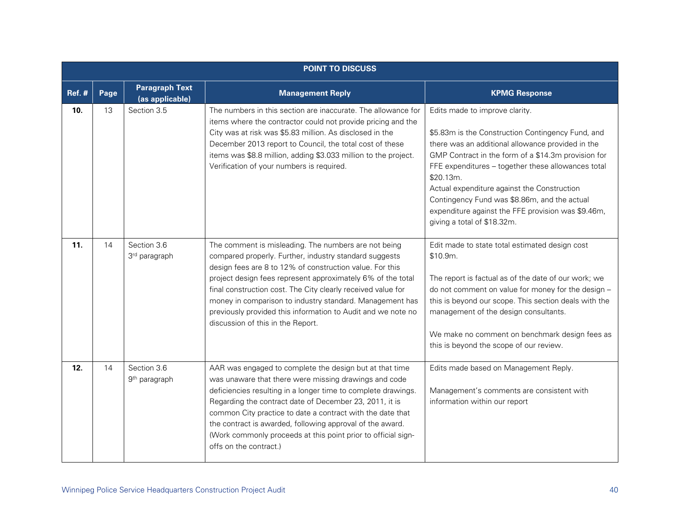|               |      |                                          | <b>POINT TO DISCUSS</b>                                                                                                                                                                                                                                                                                                                                                                                                                                                    |                                                                                                                                                                                                                                                                                                                                                                                                                                                        |
|---------------|------|------------------------------------------|----------------------------------------------------------------------------------------------------------------------------------------------------------------------------------------------------------------------------------------------------------------------------------------------------------------------------------------------------------------------------------------------------------------------------------------------------------------------------|--------------------------------------------------------------------------------------------------------------------------------------------------------------------------------------------------------------------------------------------------------------------------------------------------------------------------------------------------------------------------------------------------------------------------------------------------------|
| <b>Ref. #</b> | Page | <b>Paragraph Text</b><br>(as applicable) | <b>Management Reply</b>                                                                                                                                                                                                                                                                                                                                                                                                                                                    | <b>KPMG Response</b>                                                                                                                                                                                                                                                                                                                                                                                                                                   |
| 10.           | 13   | Section 3.5                              | The numbers in this section are inaccurate. The allowance for<br>items where the contractor could not provide pricing and the<br>City was at risk was \$5.83 million. As disclosed in the<br>December 2013 report to Council, the total cost of these<br>items was \$8.8 million, adding \$3.033 million to the project.<br>Verification of your numbers is required.                                                                                                      | Edits made to improve clarity.<br>\$5.83m is the Construction Contingency Fund, and<br>there was an additional allowance provided in the<br>GMP Contract in the form of a \$14.3m provision for<br>FFE expenditures - together these allowances total<br>\$20.13m.<br>Actual expenditure against the Construction<br>Contingency Fund was \$8.86m, and the actual<br>expenditure against the FFE provision was \$9.46m,<br>giving a total of \$18.32m. |
| 11.           | 14   | Section 3.6<br>3rd paragraph             | The comment is misleading. The numbers are not being<br>compared properly. Further, industry standard suggests<br>design fees are 8 to 12% of construction value. For this<br>project design fees represent approximately 6% of the total<br>final construction cost. The City clearly received value for<br>money in comparison to industry standard. Management has<br>previously provided this information to Audit and we note no<br>discussion of this in the Report. | Edit made to state total estimated design cost<br>\$10.9m.<br>The report is factual as of the date of our work; we<br>do not comment on value for money for the design -<br>this is beyond our scope. This section deals with the<br>management of the design consultants.<br>We make no comment on benchmark design fees as<br>this is beyond the scope of our review.                                                                                |
| 12.           | 14   | Section 3.6<br>9 <sup>th</sup> paragraph | AAR was engaged to complete the design but at that time<br>was unaware that there were missing drawings and code<br>deficiencies resulting in a longer time to complete drawings.<br>Regarding the contract date of December 23, 2011, it is<br>common City practice to date a contract with the date that<br>the contract is awarded, following approval of the award.<br>(Work commonly proceeds at this point prior to official sign-<br>offs on the contract.)         | Edits made based on Management Reply.<br>Management's comments are consistent with<br>information within our report                                                                                                                                                                                                                                                                                                                                    |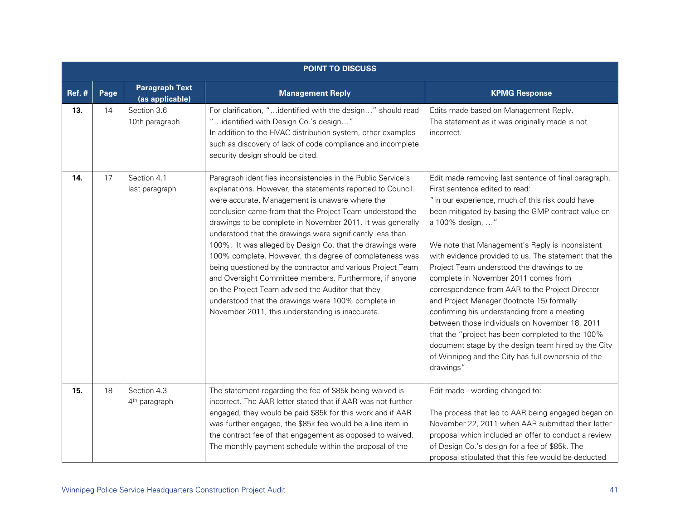|               |      |                                          | <b>POINT TO DISCUSS</b>                                                                                                                                                                                                                                                                                                                                                                                                                                                                                                                                                                                                                                                                                                                                                              |                                                                                                                                                                                                                                                                                                                                                                                                                                                                                                                                                                                                                                                                                                                                                                                                       |
|---------------|------|------------------------------------------|--------------------------------------------------------------------------------------------------------------------------------------------------------------------------------------------------------------------------------------------------------------------------------------------------------------------------------------------------------------------------------------------------------------------------------------------------------------------------------------------------------------------------------------------------------------------------------------------------------------------------------------------------------------------------------------------------------------------------------------------------------------------------------------|-------------------------------------------------------------------------------------------------------------------------------------------------------------------------------------------------------------------------------------------------------------------------------------------------------------------------------------------------------------------------------------------------------------------------------------------------------------------------------------------------------------------------------------------------------------------------------------------------------------------------------------------------------------------------------------------------------------------------------------------------------------------------------------------------------|
| <b>Ref. #</b> | Page | <b>Paragraph Text</b><br>(as applicable) | <b>Management Reply</b>                                                                                                                                                                                                                                                                                                                                                                                                                                                                                                                                                                                                                                                                                                                                                              | <b>KPMG Response</b>                                                                                                                                                                                                                                                                                                                                                                                                                                                                                                                                                                                                                                                                                                                                                                                  |
| 13.           | 14   | Section 3.6<br>10th paragraph            | For clarification, "identified with the design" should read<br>"identified with Design Co.'s design"<br>In addition to the HVAC distribution system, other examples<br>such as discovery of lack of code compliance and incomplete<br>security design should be cited.                                                                                                                                                                                                                                                                                                                                                                                                                                                                                                               | Edits made based on Management Reply.<br>The statement as it was originally made is not<br>incorrect.                                                                                                                                                                                                                                                                                                                                                                                                                                                                                                                                                                                                                                                                                                 |
| 14.           | 17   | Section 4.1<br>last paragraph            | Paragraph identifies inconsistencies in the Public Service's<br>explanations. However, the statements reported to Council<br>were accurate. Management is unaware where the<br>conclusion came from that the Project Team understood the<br>drawings to be complete in November 2011. It was generally<br>understood that the drawings were significantly less than<br>100%. It was alleged by Design Co. that the drawings were<br>100% complete. However, this degree of completeness was<br>being questioned by the contractor and various Project Team<br>and Oversight Committee members. Furthermore, if anyone<br>on the Project Team advised the Auditor that they<br>understood that the drawings were 100% complete in<br>November 2011, this understanding is inaccurate. | Edit made removing last sentence of final paragraph.<br>First sentence edited to read:<br>"In our experience, much of this risk could have<br>been mitigated by basing the GMP contract value on<br>a 100% design, "<br>We note that Management's Reply is inconsistent<br>with evidence provided to us. The statement that the<br>Project Team understood the drawings to be<br>complete in November 2011 comes from<br>correspondence from AAR to the Project Director<br>and Project Manager (footnote 15) formally<br>confirming his understanding from a meeting<br>between those individuals on November 18, 2011<br>that the "project has been completed to the 100%<br>document stage by the design team hired by the City<br>of Winnipeg and the City has full ownership of the<br>drawings" |
| 15.           | 18   | Section 4.3<br>4 <sup>th</sup> paragraph | The statement regarding the fee of \$85k being waived is<br>incorrect. The AAR letter stated that if AAR was not further<br>engaged, they would be paid \$85k for this work and if AAR<br>was further engaged, the \$85k fee would be a line item in<br>the contract fee of that engagement as opposed to waived.<br>The monthly payment schedule within the proposal of the                                                                                                                                                                                                                                                                                                                                                                                                         | Edit made - wording changed to:<br>The process that led to AAR being engaged began on<br>November 22, 2011 when AAR submitted their letter<br>proposal which included an offer to conduct a review<br>of Design Co.'s design for a fee of \$85k. The<br>proposal stipulated that this fee would be deducted                                                                                                                                                                                                                                                                                                                                                                                                                                                                                           |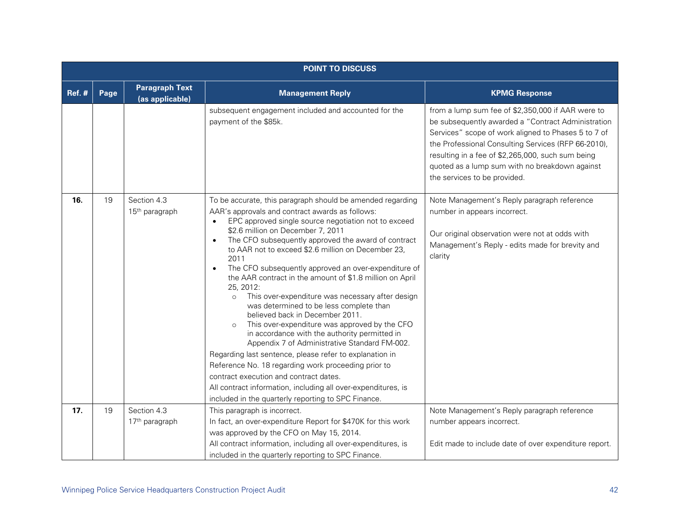|               | <b>POINT TO DISCUSS</b> |                                           |                                                                                                                                                                                                                                                                                                                                                                                                                                                                                                                                                                                                                                                                                                                                                                                                                                                                                                                                                                                                                                                                                           |                                                                                                                                                                                                                                                                                                                                                              |
|---------------|-------------------------|-------------------------------------------|-------------------------------------------------------------------------------------------------------------------------------------------------------------------------------------------------------------------------------------------------------------------------------------------------------------------------------------------------------------------------------------------------------------------------------------------------------------------------------------------------------------------------------------------------------------------------------------------------------------------------------------------------------------------------------------------------------------------------------------------------------------------------------------------------------------------------------------------------------------------------------------------------------------------------------------------------------------------------------------------------------------------------------------------------------------------------------------------|--------------------------------------------------------------------------------------------------------------------------------------------------------------------------------------------------------------------------------------------------------------------------------------------------------------------------------------------------------------|
| <b>Ref. #</b> | Page                    | <b>Paragraph Text</b><br>(as applicable)  | <b>Management Reply</b>                                                                                                                                                                                                                                                                                                                                                                                                                                                                                                                                                                                                                                                                                                                                                                                                                                                                                                                                                                                                                                                                   | <b>KPMG Response</b>                                                                                                                                                                                                                                                                                                                                         |
|               |                         |                                           | subsequent engagement included and accounted for the<br>payment of the \$85k.                                                                                                                                                                                                                                                                                                                                                                                                                                                                                                                                                                                                                                                                                                                                                                                                                                                                                                                                                                                                             | from a lump sum fee of \$2,350,000 if AAR were to<br>be subsequently awarded a "Contract Administration<br>Services" scope of work aligned to Phases 5 to 7 of<br>the Professional Consulting Services (RFP 66-2010),<br>resulting in a fee of \$2,265,000, such sum being<br>quoted as a lump sum with no breakdown against<br>the services to be provided. |
| 16.           | 19                      | Section 4.3<br>15 <sup>th</sup> paragraph | To be accurate, this paragraph should be amended regarding<br>AAR's approvals and contract awards as follows:<br>EPC approved single source negotiation not to exceed<br>\$2.6 million on December 7, 2011<br>The CFO subsequently approved the award of contract<br>$\bullet$<br>to AAR not to exceed \$2.6 million on December 23,<br>2011<br>The CFO subsequently approved an over-expenditure of<br>$\bullet$<br>the AAR contract in the amount of \$1.8 million on April<br>25, 2012:<br>This over-expenditure was necessary after design<br>$\circ$<br>was determined to be less complete than<br>believed back in December 2011.<br>This over-expenditure was approved by the CFO<br>$\circ$<br>in accordance with the authority permitted in<br>Appendix 7 of Administrative Standard FM-002.<br>Regarding last sentence, please refer to explanation in<br>Reference No. 18 regarding work proceeding prior to<br>contract execution and contract dates.<br>All contract information, including all over-expenditures, is<br>included in the quarterly reporting to SPC Finance. | Note Management's Reply paragraph reference<br>number in appears incorrect.<br>Our original observation were not at odds with<br>Management's Reply - edits made for brevity and<br>clarity                                                                                                                                                                  |
| 17.           | 19                      | Section 4.3<br>17 <sup>th</sup> paragraph | This paragraph is incorrect.<br>In fact, an over-expenditure Report for \$470K for this work<br>was approved by the CFO on May 15, 2014.<br>All contract information, including all over-expenditures, is                                                                                                                                                                                                                                                                                                                                                                                                                                                                                                                                                                                                                                                                                                                                                                                                                                                                                 | Note Management's Reply paragraph reference<br>number appears incorrect.<br>Edit made to include date of over expenditure report.                                                                                                                                                                                                                            |
|               |                         |                                           | included in the quarterly reporting to SPC Finance.                                                                                                                                                                                                                                                                                                                                                                                                                                                                                                                                                                                                                                                                                                                                                                                                                                                                                                                                                                                                                                       |                                                                                                                                                                                                                                                                                                                                                              |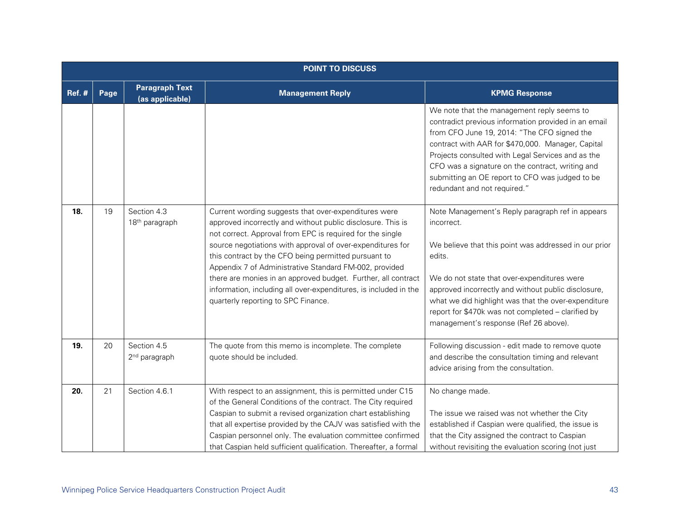|       | <b>POINT TO DISCUSS</b> |                                          |                                                                                                                                                                                                                                                                                                                                                                                                                                                                                                                                              |                                                                                                                                                                                                                                                                                                                                                                                                    |
|-------|-------------------------|------------------------------------------|----------------------------------------------------------------------------------------------------------------------------------------------------------------------------------------------------------------------------------------------------------------------------------------------------------------------------------------------------------------------------------------------------------------------------------------------------------------------------------------------------------------------------------------------|----------------------------------------------------------------------------------------------------------------------------------------------------------------------------------------------------------------------------------------------------------------------------------------------------------------------------------------------------------------------------------------------------|
| Ref.# | Page                    | <b>Paragraph Text</b><br>(as applicable) | <b>Management Reply</b>                                                                                                                                                                                                                                                                                                                                                                                                                                                                                                                      | <b>KPMG Response</b>                                                                                                                                                                                                                                                                                                                                                                               |
|       |                         |                                          |                                                                                                                                                                                                                                                                                                                                                                                                                                                                                                                                              | We note that the management reply seems to<br>contradict previous information provided in an email<br>from CFO June 19, 2014: "The CFO signed the<br>contract with AAR for \$470,000. Manager, Capital<br>Projects consulted with Legal Services and as the<br>CFO was a signature on the contract, writing and<br>submitting an OE report to CFO was judged to be<br>redundant and not required." |
| 18.   | 19                      | Section 4.3<br>18th paragraph            | Current wording suggests that over-expenditures were<br>approved incorrectly and without public disclosure. This is<br>not correct. Approval from EPC is required for the single<br>source negotiations with approval of over-expenditures for<br>this contract by the CFO being permitted pursuant to<br>Appendix 7 of Administrative Standard FM-002, provided<br>there are monies in an approved budget. Further, all contract<br>information, including all over-expenditures, is included in the<br>quarterly reporting to SPC Finance. | Note Management's Reply paragraph ref in appears<br>incorrect.<br>We believe that this point was addressed in our prior<br>edits.<br>We do not state that over-expenditures were<br>approved incorrectly and without public disclosure,<br>what we did highlight was that the over-expenditure<br>report for \$470k was not completed - clarified by<br>management's response (Ref 26 above).      |
| 19.   | 20                      | Section 4.5<br>2 <sup>nd</sup> paragraph | The quote from this memo is incomplete. The complete<br>quote should be included.                                                                                                                                                                                                                                                                                                                                                                                                                                                            | Following discussion - edit made to remove quote<br>and describe the consultation timing and relevant<br>advice arising from the consultation.                                                                                                                                                                                                                                                     |
| 20.   | 21                      | Section 4.6.1                            | With respect to an assignment, this is permitted under C15<br>of the General Conditions of the contract. The City required<br>Caspian to submit a revised organization chart establishing<br>that all expertise provided by the CAJV was satisfied with the<br>Caspian personnel only. The evaluation committee confirmed<br>that Caspian held sufficient qualification. Thereafter, a formal                                                                                                                                                | No change made.<br>The issue we raised was not whether the City<br>established if Caspian were qualified, the issue is<br>that the City assigned the contract to Caspian<br>without revisiting the evaluation scoring (not just                                                                                                                                                                    |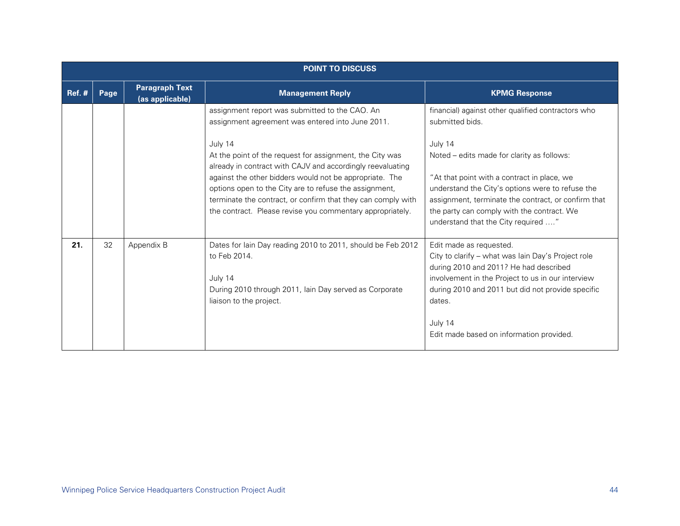|               | <b>POINT TO DISCUSS</b> |                                          |                                                                                                                                                                                                                                                                                                                                                                          |                                                                                                                                                                                                                                                                                                    |
|---------------|-------------------------|------------------------------------------|--------------------------------------------------------------------------------------------------------------------------------------------------------------------------------------------------------------------------------------------------------------------------------------------------------------------------------------------------------------------------|----------------------------------------------------------------------------------------------------------------------------------------------------------------------------------------------------------------------------------------------------------------------------------------------------|
| <b>Ref. #</b> | Page                    | <b>Paragraph Text</b><br>(as applicable) | <b>Management Reply</b>                                                                                                                                                                                                                                                                                                                                                  | <b>KPMG Response</b>                                                                                                                                                                                                                                                                               |
|               |                         |                                          | assignment report was submitted to the CAO. An<br>assignment agreement was entered into June 2011.<br>July 14                                                                                                                                                                                                                                                            | financial) against other qualified contractors who<br>submitted bids.<br>July 14                                                                                                                                                                                                                   |
|               |                         |                                          | At the point of the request for assignment, the City was<br>already in contract with CAJV and accordingly reevaluating<br>against the other bidders would not be appropriate. The<br>options open to the City are to refuse the assignment,<br>terminate the contract, or confirm that they can comply with<br>the contract. Please revise you commentary appropriately. | Noted - edits made for clarity as follows:<br>"At that point with a contract in place, we<br>understand the City's options were to refuse the<br>assignment, terminate the contract, or confirm that<br>the party can comply with the contract. We<br>understand that the City required "          |
| 21.           | 32                      | Appendix B                               | Dates for lain Day reading 2010 to 2011, should be Feb 2012<br>to Feb 2014.<br>July 14<br>During 2010 through 2011, Iain Day served as Corporate<br>liaison to the project.                                                                                                                                                                                              | Edit made as requested.<br>City to clarify - what was lain Day's Project role<br>during 2010 and 2011? He had described<br>involvement in the Project to us in our interview<br>during 2010 and 2011 but did not provide specific<br>dates.<br>July 14<br>Edit made based on information provided. |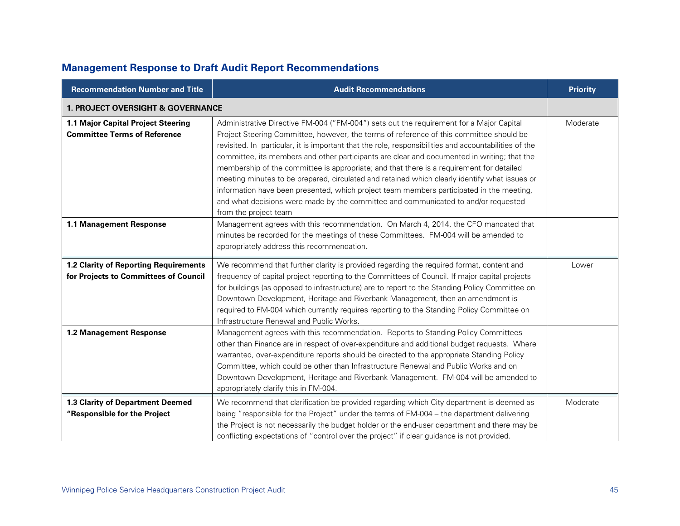| <b>Recommendation Number and Title</b>                                         | <b>Audit Recommendations</b>                                                                                                                                                                                                                                                                                                                                                                                                                                                                                                                                                                                                                                                                                                                                                                       | <b>Priority</b> |
|--------------------------------------------------------------------------------|----------------------------------------------------------------------------------------------------------------------------------------------------------------------------------------------------------------------------------------------------------------------------------------------------------------------------------------------------------------------------------------------------------------------------------------------------------------------------------------------------------------------------------------------------------------------------------------------------------------------------------------------------------------------------------------------------------------------------------------------------------------------------------------------------|-----------------|
| <b>1. PROJECT OVERSIGHT &amp; GOVERNANCE</b>                                   |                                                                                                                                                                                                                                                                                                                                                                                                                                                                                                                                                                                                                                                                                                                                                                                                    |                 |
| 1.1 Major Capital Project Steering<br><b>Committee Terms of Reference</b>      | Administrative Directive FM-004 ("FM-004") sets out the requirement for a Major Capital<br>Project Steering Committee, however, the terms of reference of this committee should be<br>revisited. In particular, it is important that the role, responsibilities and accountabilities of the<br>committee, its members and other participants are clear and documented in writing; that the<br>membership of the committee is appropriate; and that there is a requirement for detailed<br>meeting minutes to be prepared, circulated and retained which clearly identify what issues or<br>information have been presented, which project team members participated in the meeting,<br>and what decisions were made by the committee and communicated to and/or requested<br>from the project team | Moderate        |
| 1.1 Management Response                                                        | Management agrees with this recommendation. On March 4, 2014, the CFO mandated that<br>minutes be recorded for the meetings of these Committees. FM-004 will be amended to<br>appropriately address this recommendation.                                                                                                                                                                                                                                                                                                                                                                                                                                                                                                                                                                           |                 |
| 1.2 Clarity of Reporting Requirements<br>for Projects to Committees of Council | We recommend that further clarity is provided regarding the required format, content and<br>frequency of capital project reporting to the Committees of Council. If major capital projects<br>for buildings (as opposed to infrastructure) are to report to the Standing Policy Committee on<br>Downtown Development, Heritage and Riverbank Management, then an amendment is<br>required to FM-004 which currently requires reporting to the Standing Policy Committee on<br>Infrastructure Renewal and Public Works.                                                                                                                                                                                                                                                                             | Lower           |
| 1.2 Management Response                                                        | Management agrees with this recommendation. Reports to Standing Policy Committees<br>other than Finance are in respect of over-expenditure and additional budget requests. Where<br>warranted, over-expenditure reports should be directed to the appropriate Standing Policy<br>Committee, which could be other than Infrastructure Renewal and Public Works and on<br>Downtown Development, Heritage and Riverbank Management. FM-004 will be amended to<br>appropriately clarify this in FM-004.                                                                                                                                                                                                                                                                                                |                 |
| 1.3 Clarity of Department Deemed<br>"Responsible for the Project               | We recommend that clarification be provided regarding which City department is deemed as<br>being "responsible for the Project" under the terms of FM-004 - the department delivering<br>the Project is not necessarily the budget holder or the end-user department and there may be<br>conflicting expectations of "control over the project" if clear guidance is not provided.                                                                                                                                                                                                                                                                                                                                                                                                                 | Moderate        |

# **Management Response to Draft Audit Report Recommendations**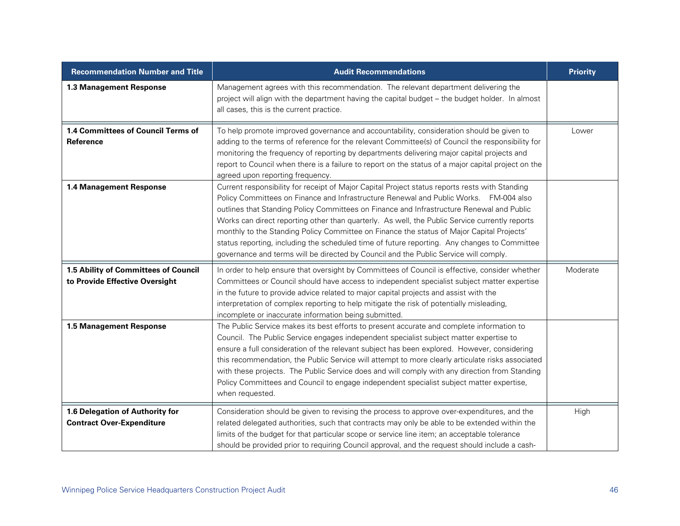| <b>Recommendation Number and Title</b>                                 | <b>Audit Recommendations</b>                                                                                                                                                                                                                                                                                                                                                                                                                                                                                                                                                                                                                                                | <b>Priority</b> |
|------------------------------------------------------------------------|-----------------------------------------------------------------------------------------------------------------------------------------------------------------------------------------------------------------------------------------------------------------------------------------------------------------------------------------------------------------------------------------------------------------------------------------------------------------------------------------------------------------------------------------------------------------------------------------------------------------------------------------------------------------------------|-----------------|
| 1.3 Management Response                                                | Management agrees with this recommendation. The relevant department delivering the<br>project will align with the department having the capital budget - the budget holder. In almost<br>all cases, this is the current practice.                                                                                                                                                                                                                                                                                                                                                                                                                                           |                 |
| 1.4 Committees of Council Terms of<br>Reference                        | To help promote improved governance and accountability, consideration should be given to<br>adding to the terms of reference for the relevant Committee(s) of Council the responsibility for<br>monitoring the frequency of reporting by departments delivering major capital projects and<br>report to Council when there is a failure to report on the status of a major capital project on the<br>agreed upon reporting frequency.                                                                                                                                                                                                                                       | Lower           |
| <b>1.4 Management Response</b>                                         | Current responsibility for receipt of Major Capital Project status reports rests with Standing<br>Policy Committees on Finance and Infrastructure Renewal and Public Works. FM-004 also<br>outlines that Standing Policy Committees on Finance and Infrastructure Renewal and Public<br>Works can direct reporting other than quarterly. As well, the Public Service currently reports<br>monthly to the Standing Policy Committee on Finance the status of Major Capital Projects'<br>status reporting, including the scheduled time of future reporting. Any changes to Committee<br>governance and terms will be directed by Council and the Public Service will comply. |                 |
| 1.5 Ability of Committees of Council<br>to Provide Effective Oversight | In order to help ensure that oversight by Committees of Council is effective, consider whether<br>Committees or Council should have access to independent specialist subject matter expertise<br>in the future to provide advice related to major capital projects and assist with the<br>interpretation of complex reporting to help mitigate the risk of potentially misleading,<br>incomplete or inaccurate information being submitted.                                                                                                                                                                                                                                 | Moderate        |
| 1.5 Management Response                                                | The Public Service makes its best efforts to present accurate and complete information to<br>Council. The Public Service engages independent specialist subject matter expertise to<br>ensure a full consideration of the relevant subject has been explored. However, considering<br>this recommendation, the Public Service will attempt to more clearly articulate risks associated<br>with these projects. The Public Service does and will comply with any direction from Standing<br>Policy Committees and Council to engage independent specialist subject matter expertise,<br>when requested.                                                                      |                 |
| 1.6 Delegation of Authority for<br><b>Contract Over-Expenditure</b>    | Consideration should be given to revising the process to approve over-expenditures, and the<br>related delegated authorities, such that contracts may only be able to be extended within the<br>limits of the budget for that particular scope or service line item; an acceptable tolerance<br>should be provided prior to requiring Council approval, and the request should include a cash-                                                                                                                                                                                                                                                                              | High            |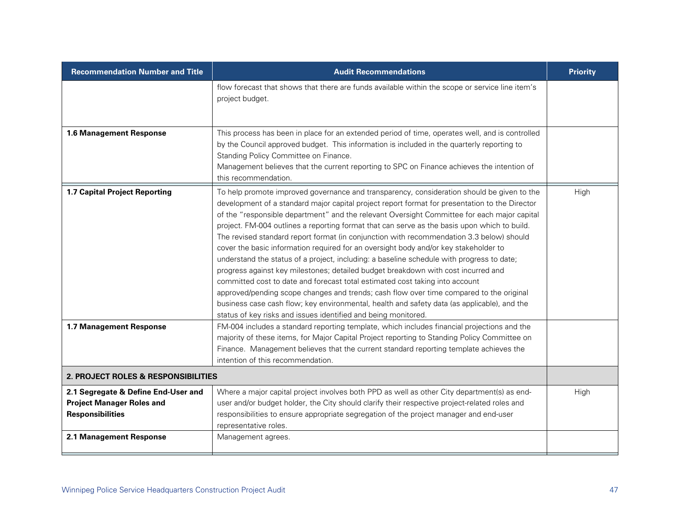| <b>Recommendation Number and Title</b>                                                             | <b>Audit Recommendations</b>                                                                                                                                                                                                                                                                                                                                                                                                                                                                                                                                                                                                                                                                                                                                                                                                                                                                                                                                                                                                                                                                                  | <b>Priority</b> |
|----------------------------------------------------------------------------------------------------|---------------------------------------------------------------------------------------------------------------------------------------------------------------------------------------------------------------------------------------------------------------------------------------------------------------------------------------------------------------------------------------------------------------------------------------------------------------------------------------------------------------------------------------------------------------------------------------------------------------------------------------------------------------------------------------------------------------------------------------------------------------------------------------------------------------------------------------------------------------------------------------------------------------------------------------------------------------------------------------------------------------------------------------------------------------------------------------------------------------|-----------------|
|                                                                                                    | flow forecast that shows that there are funds available within the scope or service line item's<br>project budget.                                                                                                                                                                                                                                                                                                                                                                                                                                                                                                                                                                                                                                                                                                                                                                                                                                                                                                                                                                                            |                 |
| 1.6 Management Response                                                                            | This process has been in place for an extended period of time, operates well, and is controlled<br>by the Council approved budget. This information is included in the quarterly reporting to<br>Standing Policy Committee on Finance.<br>Management believes that the current reporting to SPC on Finance achieves the intention of<br>this recommendation.                                                                                                                                                                                                                                                                                                                                                                                                                                                                                                                                                                                                                                                                                                                                                  |                 |
| 1.7 Capital Project Reporting                                                                      | To help promote improved governance and transparency, consideration should be given to the<br>development of a standard major capital project report format for presentation to the Director<br>of the "responsible department" and the relevant Oversight Committee for each major capital<br>project. FM-004 outlines a reporting format that can serve as the basis upon which to build.<br>The revised standard report format (in conjunction with recommendation 3.3 below) should<br>cover the basic information required for an oversight body and/or key stakeholder to<br>understand the status of a project, including: a baseline schedule with progress to date;<br>progress against key milestones; detailed budget breakdown with cost incurred and<br>committed cost to date and forecast total estimated cost taking into account<br>approved/pending scope changes and trends; cash flow over time compared to the original<br>business case cash flow; key environmental, health and safety data (as applicable), and the<br>status of key risks and issues identified and being monitored. | High            |
| 1.7 Management Response                                                                            | FM-004 includes a standard reporting template, which includes financial projections and the<br>majority of these items, for Major Capital Project reporting to Standing Policy Committee on<br>Finance. Management believes that the current standard reporting template achieves the<br>intention of this recommendation.                                                                                                                                                                                                                                                                                                                                                                                                                                                                                                                                                                                                                                                                                                                                                                                    |                 |
| 2. PROJECT ROLES & RESPONSIBILITIES                                                                |                                                                                                                                                                                                                                                                                                                                                                                                                                                                                                                                                                                                                                                                                                                                                                                                                                                                                                                                                                                                                                                                                                               |                 |
| 2.1 Segregate & Define End-User and<br><b>Project Manager Roles and</b><br><b>Responsibilities</b> | Where a major capital project involves both PPD as well as other City department(s) as end-<br>user and/or budget holder, the City should clarify their respective project-related roles and<br>responsibilities to ensure appropriate segregation of the project manager and end-user<br>representative roles.                                                                                                                                                                                                                                                                                                                                                                                                                                                                                                                                                                                                                                                                                                                                                                                               | High            |
| 2.1 Management Response                                                                            | Management agrees.                                                                                                                                                                                                                                                                                                                                                                                                                                                                                                                                                                                                                                                                                                                                                                                                                                                                                                                                                                                                                                                                                            |                 |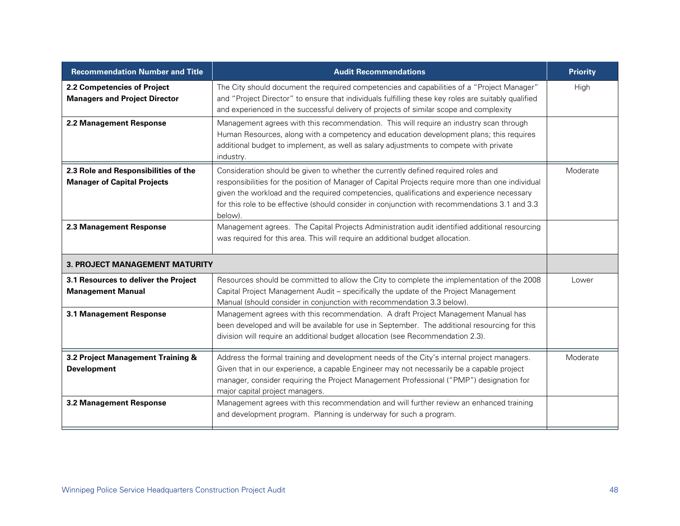| <b>Recommendation Number and Title</b>                                     | <b>Audit Recommendations</b>                                                                                                                                                                                                                                                                                                                                                                     | <b>Priority</b> |
|----------------------------------------------------------------------------|--------------------------------------------------------------------------------------------------------------------------------------------------------------------------------------------------------------------------------------------------------------------------------------------------------------------------------------------------------------------------------------------------|-----------------|
| 2.2 Competencies of Project<br><b>Managers and Project Director</b>        | The City should document the required competencies and capabilities of a "Project Manager"<br>and "Project Director" to ensure that individuals fulfilling these key roles are suitably qualified<br>and experienced in the successful delivery of projects of similar scope and complexity                                                                                                      | High            |
| 2.2 Management Response                                                    | Management agrees with this recommendation. This will require an industry scan through<br>Human Resources, along with a competency and education development plans; this requires<br>additional budget to implement, as well as salary adjustments to compete with private<br>industry.                                                                                                          |                 |
| 2.3 Role and Responsibilities of the<br><b>Manager of Capital Projects</b> | Consideration should be given to whether the currently defined required roles and<br>responsibilities for the position of Manager of Capital Projects require more than one individual<br>given the workload and the required competencies, qualifications and experience necessary<br>for this role to be effective (should consider in conjunction with recommendations 3.1 and 3.3<br>below). | Moderate        |
| 2.3 Management Response                                                    | Management agrees. The Capital Projects Administration audit identified additional resourcing<br>was required for this area. This will require an additional budget allocation.                                                                                                                                                                                                                  |                 |
| <b>3. PROJECT MANAGEMENT MATURITY</b>                                      |                                                                                                                                                                                                                                                                                                                                                                                                  |                 |
| 3.1 Resources to deliver the Project<br><b>Management Manual</b>           | Resources should be committed to allow the City to complete the implementation of the 2008<br>Capital Project Management Audit - specifically the update of the Project Management<br>Manual (should consider in conjunction with recommendation 3.3 below).                                                                                                                                     | Lower           |
| 3.1 Management Response                                                    | Management agrees with this recommendation. A draft Project Management Manual has<br>been developed and will be available for use in September. The additional resourcing for this<br>division will require an additional budget allocation (see Recommendation 2.3).                                                                                                                            |                 |
| 3.2 Project Management Training &<br><b>Development</b>                    | Address the formal training and development needs of the City's internal project managers.<br>Given that in our experience, a capable Engineer may not necessarily be a capable project<br>manager, consider requiring the Project Management Professional ("PMP") designation for<br>major capital project managers.                                                                            | Moderate        |
| 3.2 Management Response                                                    | Management agrees with this recommendation and will further review an enhanced training<br>and development program. Planning is underway for such a program.                                                                                                                                                                                                                                     |                 |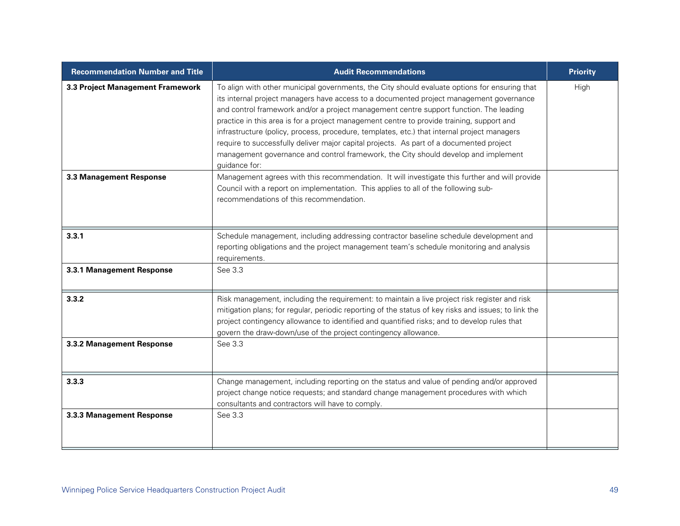| <b>Recommendation Number and Title</b> | <b>Audit Recommendations</b>                                                                                                                                                                                                                                                                                                                                                                                                                                                                                                                                                                                                                                                     | <b>Priority</b> |
|----------------------------------------|----------------------------------------------------------------------------------------------------------------------------------------------------------------------------------------------------------------------------------------------------------------------------------------------------------------------------------------------------------------------------------------------------------------------------------------------------------------------------------------------------------------------------------------------------------------------------------------------------------------------------------------------------------------------------------|-----------------|
| 3.3 Project Management Framework       | To align with other municipal governments, the City should evaluate options for ensuring that<br>its internal project managers have access to a documented project management governance<br>and control framework and/or a project management centre support function. The leading<br>practice in this area is for a project management centre to provide training, support and<br>infrastructure (policy, process, procedure, templates, etc.) that internal project managers<br>require to successfully deliver major capital projects. As part of a documented project<br>management governance and control framework, the City should develop and implement<br>guidance for: | High            |
| 3.3 Management Response                | Management agrees with this recommendation. It will investigate this further and will provide<br>Council with a report on implementation. This applies to all of the following sub-<br>recommendations of this recommendation.                                                                                                                                                                                                                                                                                                                                                                                                                                                   |                 |
| 3.3.1                                  | Schedule management, including addressing contractor baseline schedule development and<br>reporting obligations and the project management team's schedule monitoring and analysis<br>requirements.                                                                                                                                                                                                                                                                                                                                                                                                                                                                              |                 |
| 3.3.1 Management Response              | See 3.3                                                                                                                                                                                                                                                                                                                                                                                                                                                                                                                                                                                                                                                                          |                 |
| 3.3.2                                  | Risk management, including the requirement: to maintain a live project risk register and risk<br>mitigation plans; for regular, periodic reporting of the status of key risks and issues; to link the<br>project contingency allowance to identified and quantified risks; and to develop rules that<br>govern the draw-down/use of the project contingency allowance.                                                                                                                                                                                                                                                                                                           |                 |
| 3.3.2 Management Response              | See 3.3                                                                                                                                                                                                                                                                                                                                                                                                                                                                                                                                                                                                                                                                          |                 |
| 3.3.3                                  | Change management, including reporting on the status and value of pending and/or approved<br>project change notice requests; and standard change management procedures with which<br>consultants and contractors will have to comply.                                                                                                                                                                                                                                                                                                                                                                                                                                            |                 |
| 3.3.3 Management Response              | See 3.3                                                                                                                                                                                                                                                                                                                                                                                                                                                                                                                                                                                                                                                                          |                 |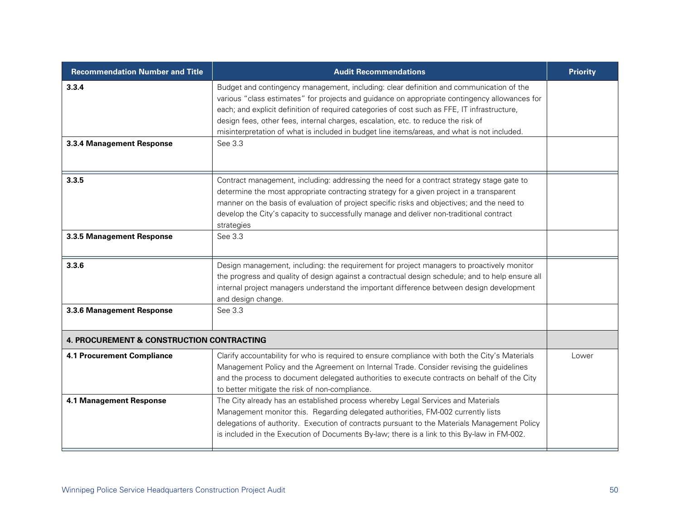| <b>Recommendation Number and Title</b>    | <b>Audit Recommendations</b>                                                                                                                                                                                                                                                                                                                                                                                                                                                 | <b>Priority</b> |
|-------------------------------------------|------------------------------------------------------------------------------------------------------------------------------------------------------------------------------------------------------------------------------------------------------------------------------------------------------------------------------------------------------------------------------------------------------------------------------------------------------------------------------|-----------------|
| 3.3.4                                     | Budget and contingency management, including: clear definition and communication of the<br>various "class estimates" for projects and guidance on appropriate contingency allowances for<br>each; and explicit definition of required categories of cost such as FFE, IT infrastructure,<br>design fees, other fees, internal charges, escalation, etc. to reduce the risk of<br>misinterpretation of what is included in budget line items/areas, and what is not included. |                 |
| 3.3.4 Management Response                 | See 3.3                                                                                                                                                                                                                                                                                                                                                                                                                                                                      |                 |
| 3.3.5                                     | Contract management, including: addressing the need for a contract strategy stage gate to<br>determine the most appropriate contracting strategy for a given project in a transparent<br>manner on the basis of evaluation of project specific risks and objectives; and the need to<br>develop the City's capacity to successfully manage and deliver non-traditional contract<br>strategies                                                                                |                 |
| 3.3.5 Management Response                 | See 3.3                                                                                                                                                                                                                                                                                                                                                                                                                                                                      |                 |
| 3.3.6                                     | Design management, including: the requirement for project managers to proactively monitor<br>the progress and quality of design against a contractual design schedule; and to help ensure all<br>internal project managers understand the important difference between design development<br>and design change.                                                                                                                                                              |                 |
| 3.3.6 Management Response                 | See 3.3                                                                                                                                                                                                                                                                                                                                                                                                                                                                      |                 |
| 4. PROCUREMENT & CONSTRUCTION CONTRACTING |                                                                                                                                                                                                                                                                                                                                                                                                                                                                              |                 |
| <b>4.1 Procurement Compliance</b>         | Clarify accountability for who is required to ensure compliance with both the City's Materials<br>Management Policy and the Agreement on Internal Trade. Consider revising the guidelines<br>and the process to document delegated authorities to execute contracts on behalf of the City<br>to better mitigate the risk of non-compliance.                                                                                                                                  | Lower           |
| <b>4.1 Management Response</b>            | The City already has an established process whereby Legal Services and Materials<br>Management monitor this. Regarding delegated authorities, FM-002 currently lists<br>delegations of authority. Execution of contracts pursuant to the Materials Management Policy<br>is included in the Execution of Documents By-law; there is a link to this By-law in FM-002.                                                                                                          |                 |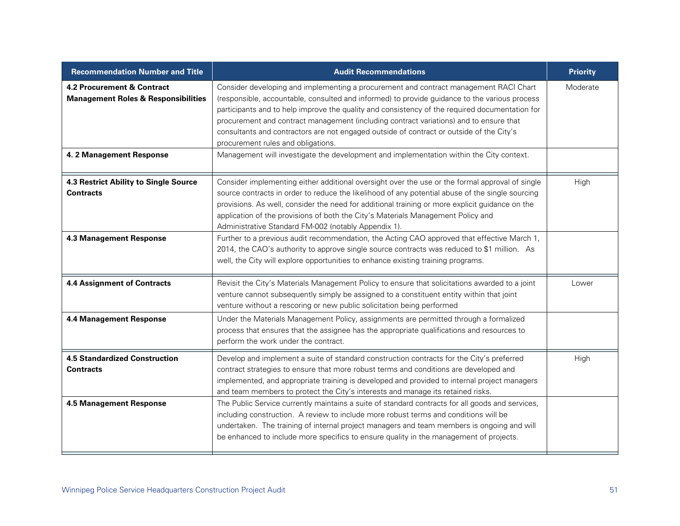| <b>Recommendation Number and Title</b>                                                                   | <b>Audit Recommendations</b>                                                                                                                                                                                                                                                                                                                                                                                                                                                                                                                                                                                    | <b>Priority</b> |
|----------------------------------------------------------------------------------------------------------|-----------------------------------------------------------------------------------------------------------------------------------------------------------------------------------------------------------------------------------------------------------------------------------------------------------------------------------------------------------------------------------------------------------------------------------------------------------------------------------------------------------------------------------------------------------------------------------------------------------------|-----------------|
| 4.2 Procurement & Contract<br><b>Management Roles &amp; Responsibilities</b><br>4. 2 Management Response | Consider developing and implementing a procurement and contract management RACI Chart<br>(responsible, accountable, consulted and informed) to provide guidance to the various process<br>participants and to help improve the quality and consistency of the required documentation for<br>procurement and contract management (including contract variations) and to ensure that<br>consultants and contractors are not engaged outside of contract or outside of the City's<br>procurement rules and obligations.<br>Management will investigate the development and implementation within the City context. | Moderate        |
|                                                                                                          |                                                                                                                                                                                                                                                                                                                                                                                                                                                                                                                                                                                                                 |                 |
| 4.3 Restrict Ability to Single Source<br><b>Contracts</b>                                                | Consider implementing either additional oversight over the use or the formal approval of single<br>source contracts in order to reduce the likelihood of any potential abuse of the single sourcing<br>provisions. As well, consider the need for additional training or more explicit guidance on the<br>application of the provisions of both the City's Materials Management Policy and<br>Administrative Standard FM-002 (notably Appendix 1).                                                                                                                                                              | High            |
| <b>4.3 Management Response</b>                                                                           | Further to a previous audit recommendation, the Acting CAO approved that effective March 1,<br>2014, the CAO's authority to approve single source contracts was reduced to \$1 million. As<br>well, the City will explore opportunities to enhance existing training programs.                                                                                                                                                                                                                                                                                                                                  |                 |
| <b>4.4 Assignment of Contracts</b>                                                                       | Revisit the City's Materials Management Policy to ensure that solicitations awarded to a joint<br>venture cannot subsequently simply be assigned to a constituent entity within that joint<br>venture without a rescoring or new public solicitation being performed                                                                                                                                                                                                                                                                                                                                            | Lower           |
| <b>4.4 Management Response</b>                                                                           | Under the Materials Management Policy, assignments are permitted through a formalized<br>process that ensures that the assignee has the appropriate qualifications and resources to<br>perform the work under the contract.                                                                                                                                                                                                                                                                                                                                                                                     |                 |
| <b>4.5 Standardized Construction</b><br><b>Contracts</b>                                                 | Develop and implement a suite of standard construction contracts for the City's preferred<br>contract strategies to ensure that more robust terms and conditions are developed and<br>implemented, and appropriate training is developed and provided to internal project managers<br>and team members to protect the City's interests and manage its retained risks.                                                                                                                                                                                                                                           | High            |
| <b>4.5 Management Response</b>                                                                           | The Public Service currently maintains a suite of standard contracts for all goods and services,<br>including construction. A review to include more robust terms and conditions will be<br>undertaken. The training of internal project managers and team members is ongoing and will<br>be enhanced to include more specifics to ensure quality in the management of projects.                                                                                                                                                                                                                                |                 |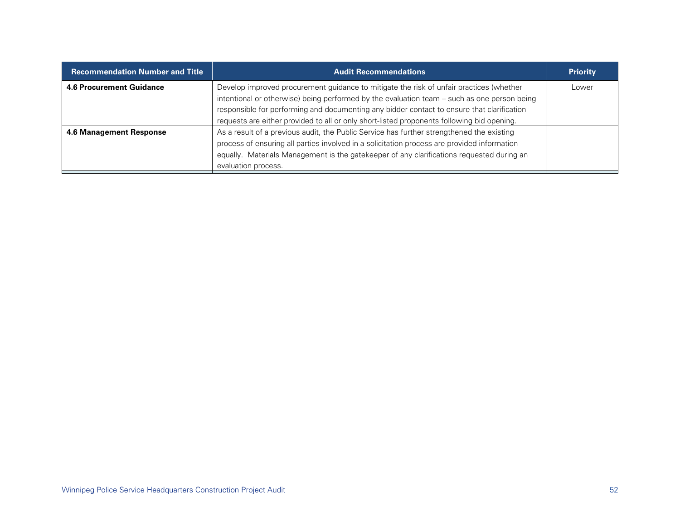| <b>Recommendation Number and Title</b> | <b>Audit Recommendations</b>                                                                                                                                                                                                                                                                                                                                                       | <b>Priority</b> |
|----------------------------------------|------------------------------------------------------------------------------------------------------------------------------------------------------------------------------------------------------------------------------------------------------------------------------------------------------------------------------------------------------------------------------------|-----------------|
| <b>4.6 Procurement Guidance</b>        | Develop improved procurement guidance to mitigate the risk of unfair practices (whether<br>intentional or otherwise) being performed by the evaluation team – such as one person being<br>responsible for performing and documenting any bidder contact to ensure that clarification<br>requests are either provided to all or only short-listed proponents following bid opening. | Lower           |
| 4.6 Management Response                | As a result of a previous audit, the Public Service has further strengthened the existing<br>process of ensuring all parties involved in a solicitation process are provided information<br>equally. Materials Management is the gatekeeper of any clarifications requested during an<br>evaluation process.                                                                       |                 |